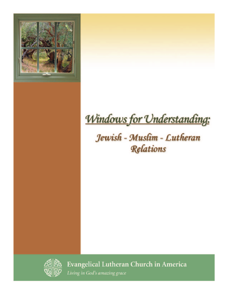

# Windows for Understanding:

## Jewish - Muslim - Lutheran **Relations**



Evangelical Lutheran Church in America Living in God's amazing grace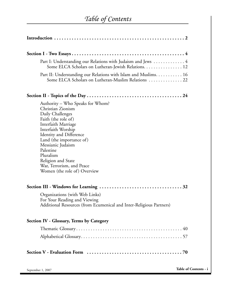| Part I: Understanding our Relations with Judaism and Jews  4<br>Some ELCA Scholars on Lutheran-Jewish Relations. 12                                                                                                                                                                                                                    |
|----------------------------------------------------------------------------------------------------------------------------------------------------------------------------------------------------------------------------------------------------------------------------------------------------------------------------------------|
| Part II: Understanding our Relations with Islam and Muslims. 16<br>Some ELCA Scholars on Lutheran-Muslim Relations  22                                                                                                                                                                                                                 |
|                                                                                                                                                                                                                                                                                                                                        |
| Authority – Who Speaks for Whom?<br>Christian Zionism<br>Daily Challenges<br>Faith (the role of)<br>Interfaith Marriage<br>Interfaith Worship<br>Identity and Difference<br>Land (the importance of)<br>Messianic Judaism<br>Palestine<br>Pluralism<br>Religion and State<br>War, Terrorism, and Peace<br>Women (the role of) Overview |
|                                                                                                                                                                                                                                                                                                                                        |
| Organizations (with Web Links)<br>For Your Reading and Viewing<br>Additional Resources (from Ecumenical and Inter-Religious Partners)                                                                                                                                                                                                  |
| Section IV - Glossary, Terms by Category                                                                                                                                                                                                                                                                                               |
|                                                                                                                                                                                                                                                                                                                                        |
|                                                                                                                                                                                                                                                                                                                                        |
|                                                                                                                                                                                                                                                                                                                                        |

September 1, 2007 **Table of Contents - i**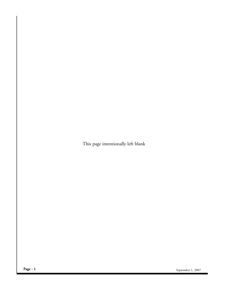This page intentionally left blank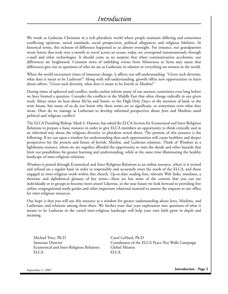We reside as Lutheran Christians in a rich pluralistic world where people maintain differing and sometimes conflicting opinions, moral standards, social perspectives, political allegiances and religious fidelities. In historical terms, this richness of difference happened to us almost overnight. For instance, our grandparents wrote letters that took over a month to travel across an ocean; today, we correspond instantaneously through e-mail and other technologies. It should come as no surprise that when communication accelerates, our differences are heightened. Constant news of unfolding events from Minnesota to Syria may mean that differences give rise to questions of who we are as Lutherans in relation to everything we witness in the world.

When the world encounters times of immense change, it affects our self-understanding: "Given such diversity, what does it mean to be Lutheran?" Along with self-understanding, growth offers new opportunities to learn about others: "Given such diversity, what does it mean to be Jewish or Muslim?"

During times of upheaval and conflict, media outlets inform many of our answers, sometimes even long before we have formed a question. Consider the conflicts in the Middle East that often change radically in any given week. Many times we hear about Shi'ite and Sunni, or the High Holy Days, or the mention of land, or the term Imam, but many of us do not know why these terms are so significant, or sometimes even what they mean. How do we manage as Lutherans to develop informed perspectives about Jews and Muslims amid political and religious conflict?

The ELCA Presiding Bishop, Mark S. Hanson, has asked the ELCA Section for Ecumenical and Inter-Religious Relations to prepare a basic resource in order to give ELCA members an opportunity to think critically and in an informed way about the religious diversity or pluralism noted above. The premise of this resource is the following: If we can open a window for understanding then such opportunities will create healthier and deeper perspectives for the present and future of Jewish, Muslim, and Lutheran relations. Think of *Windows* as a lighthouse resource, where we are together afforded the opportunity to miss the shoals and other hazards that limit our possibilities for greater learning and understanding, while at the same time illuminating the healthy landscape of inter-religious relations.

*Windows* is posted through Ecumenical and Inter-Religious Relations as an online resource, where it is revised and refined on a regular basis in order to responsibly and accurately meet the needs of the ELCA, and those engaged in inter-religious work within this church. Up-to-date reading lists, relevant Web links, timelines, a thematic and alphabetical glossary of key terms—these are but some of the content that you can use individually or in groups to become more aware! Likewise, in the near future we look forward to providing free online congregational study guides and other important relational material to answer the requests to our office for inter-religious resources.

Our hope is that you will use this resource as a window for greater understanding about Jews, Muslims, and Lutherans, and relations among these three. We further trust that your exploration into questions of what it means to be Lutheran in the varied inter-religious landscape will help your own faith grow in depth and meaning.

Michael Trice, Ph.D Carol LaHurd, Ph.D Ecumenical and Inter-Religious Relations Global Mission ELCA ELCA

Associate Director Coordinator of the ELCA Peace Not Walls Campaign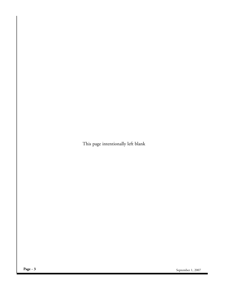This page intentionally left blank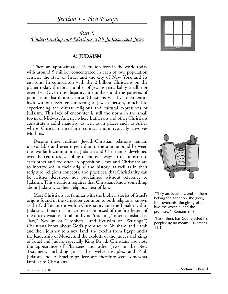## *Part I: Understanding our Relations with Judaism and Jews*

#### **A) JUDAISM**

There are approximately 15 million Jews in the world today with around 5 million concentrated in each of two population centers, the state of Israel and the city of New York and its environs. In comparison with the 2 billion Christians on the planet today, the total number of Jews is remarkably small, not even 1%. Given this disparity in numbers and the patterns of population distribution, most Christians will live their entire lives without ever encountering a Jewish person, much less experiencing the diverse religious and cultural expressions of Judaism. This lack of encounter is still the norm in the small towns of Midwest America where Lutherans and other Christians constitute a solid majority, as well as in places such as Africa where Christian interfaith contact more typically involves Muslims.

Despite these realities, Jewish-Christian relations remain unavoidable and even urgent due to the unique bond between the two faith communities. Judaism and Christianity developed over the centuries as sibling religions, always in relationship to each other and too often in opposition. Jews and Christians are so intertwined in their origins and history, as well as in their scripture, religious concepts, and practices, that Christianity can be neither described nor proclaimed without reference to Judaism. This situation requires that Christians know something about Judaism, as their religious next of kin.

Most Christians are familiar with the biblical stories of Israel's origins found in the scriptures common to both religions, known as the Old Testament within Christianity and the Tanakh within Judaism. (Tanakh is an acronym composed of the first letters of the three divisions: Torah or divine "teaching," often translated as "law," Nevi'im or "Prophets," and Ketuvim or "Writings.") Christians know about God's promises to Abraham and Sarah and their journey to a new land, the exodus from Egypt under the leadership of Moses, and the exploits of the judges and kings of Israel and Judah, especially King David. Christians also note the appearance of Pharisees and other Jews in the New Testament, including Jesus, the twelve disciples, and Paul. Judaism and its Israelite predecessors therefore seem somewhat familiar to Christians.





"They are Israelites, and to them belong the adoption, the glory, the covenants, the giving of the law, the worship, and the promises." (Romans 9:4)

"I ask, then, has God rejected his people? By no means!" (Romans 11:1)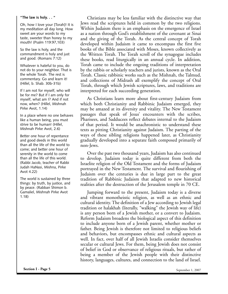#### **"The law is holy. . . "**

Oh, how I love your [Torah]! It is my meditation all day long. How sweet are your words to my taste, sweeter than honey to my mouth! (Psalm 119:97,103)

So the law is holy, and the commandment is holy and just and good. (Romans 7:12)

Whatever is hateful to you, do not do to your neighbor. That is the whole Torah. The rest is commentary. Go and learn it! (Hillel, b. Shab. 30b-31b)

If I am not for myself, who will be for me? But if I am only for myself, what am I? And if not now, when? (Hillel, Mishnah Pirke Avot, 1.14)

In a place where no one behaves like a human being, you must strive to be human! (Hillel, Mishnah Pirke Avot, 2.6)

Better one hour of repentance and good deeds in this world than all the life of the world to come; and better one hour of serenity in the world to come than all the life of this world. (Rabbi Jacob, teacher of Rabbi Judah HaNasi, Mishna, Pirke Avot 4.22)

The world is sustained by three things: by truth, by justice, and by peace. (Rabban Shimon b. Gamaliel, Mishnah Pirke Avot 1.18)

Christians may be less familiar with the distinctive way that Jews read the scriptures held in common by the two religions. Within Judaism there is an emphasis on the emergence of Israel as a nation through God's establishment of the covenant at Sinai and the giving of the Torah. As the central concept of Torah developed within Judaism it came to encompass the first five books of the Bible associated with Moses, known collectively as the Written Torah. The Torah scroll of the synagogue includes these books, read liturgically in an annual cycle. In addition, Torah came to include the ongoing traditions of interpretation by the rabbis or scholarly teachers and jurists, known as the Oral Torah. Classic rabbinic works such as the Mishnah, the Talmud, and collections of Midrash all exemplify the concept of Oral Torah, through which Jewish scriptures, laws, and traditions are interpreted for each succeeding generation.

As Christians learn more about first-century Judaism from which both Christianity and Rabbinic Judaism emerged, they may be amazed at its diversity and vitality. The New Testament passages that speak of Jesus' encounters with the scribes, Pharisees, and Sadducees reflect debates internal to the Judaism of that period. It would be anachronistic to understand these texts as pitting Christianity against Judaism. The parting of the ways of these sibling religions happened later, as Christianity gradually developed into a separate faith composed primarily of non-Jews.

Over the past two thousand years, Judaism has also continued to develop. Judaism today is quite different from both the Israelite religion of the Old Testament and the forms of Judaism portrayed in the New Testament. The survival and flourishing of Judaism over the centuries is due in large part to the great tradition of Rabbinic Judaism that adapted to new historical realities after the destruction of the Jerusalem temple in 70 CE.

Jumping forward to the present, Judaism today is a diverse and vibrant monotheistic religion, as well as an ethnic and cultural identity. The definition of a Jew according to Jewish legal tradition or halakhah (literally, "walking" the Jewish way of life) is any person born of a Jewish mother, or a convert to Judaism. Reform Judaism broadens the biological aspect of this definition to include anyone born of a Jewish parent, whether mother or father. Being Jewish is therefore not limited to religious beliefs and behaviors, but encompasses ethnic and cultural aspects as well. In fact, over half of all Jewish Israelis consider themselves secular or cultural Jews. For them, being Jewish does not consist of belief in God or observance of religious rituals, but rather of being a member of the Jewish people with their distinctive history, languages, cultures, and connection to the land of Israel.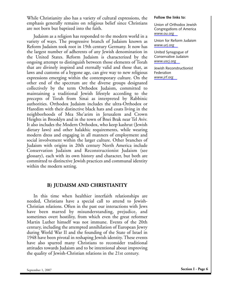While Christianity also has a variety of cultural expressions, the emphasis generally remains on religious belief since Christians are not born but baptized into the faith.

Judaism as a religion has responded to the modern world in a variety of ways. The progressive branch of Judaism known as Reform Judaism took root in 19th century Germany. It now has the largest number of adherents of any Jewish denomination in the United States. Reform Judaism is characterized by the ongoing attempt to distinguish between those elements of Torah that are divinely inspired and eternally valid and those that, as laws and customs of a bygone age, can give way to new religious expressions emerging within the contemporary culture. On the other end of the spectrum are the diverse groups designated collectively by the term Orthodox Judaism, committed to maintaining a traditional Jewish lifestyle according to the precepts of Torah from Sinai as interpreted by Rabbinic authorities. Orthodox Judaism includes the ultra-Orthodox or Haredim with their distinctive black hats and coats living in the neighborhoods of Mea She'arim in Jerusalem and Crown Heights in Brooklyn and in the town of Bnei Brak near Tel Aviv. It also includes the Modern Orthodox, who keep kashrut (Jewish dietary laws) and other halakhic requirements, while wearing modern dress and engaging in all manners of employment and social involvement within the larger culture. Other branches of Judaism with origins in 20th century North America include Conservation Judaism and Reconstructionist Judaism (see glossary), each with its own history and character, but both are committed to distinctive Jewish practices and communal identity within the modern setting.

#### **B) JUDAISM AND CHRISTIANITY**

In this time when healthier interfaith relationships are needed, Christians have a special call to attend to Jewish-Christian relations. Often in the past our interactions with Jews have been marred by misunderstanding, prejudice, and sometimes overt hostility, from which even the great reformer Martin Luther himself was not immune. Events of the 20th century, including the attempted annihilation of European Jewry during World War II and the founding of the State of Israel in 1948 have been pivotal in reshaping Jewish identity. These events have also spurred many Christians to reconsider traditional attitudes towards Judaism and to be intentional about improving the quality of Jewish-Christian relations in the 21st century.

#### **Follow the links to:**

Union of Orthodox Jewish Congregations of America *[www.ou.org](http://www.ou.org)*

Union for Reform Judaism *[www.urj.org](http://www.urj.org)* 

United Synagogue of Conservative Judaism *[www.uscj.org](http://www.uscj.org)*

Jewish Reconstructionist Federation *[www.jrf.org](http://www.jrf.org)*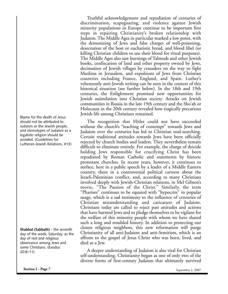Truthful acknowledgement and repudiation of centuries of discrimination, scapegoating, and violence against Jewish minority populations in Europe continue to be important first steps in repairing Christianity's broken relationship with Judaism. The Middle Ages in particular marked a low point, with the demonizing of Jews and false charges of well-poisoning, desecration of the host or eucharistic bread, and blood libel (or killing Christian children to use their blood for ritual purposes). The Middle Ages also saw burnings of Talmuds and other Jewish books, confiscation of land and other property owned by Jews, decimation of Jewish villages by crusaders on the way to fight Muslims in Jerusalem, and expulsions of Jews from Christian countries including France, England, and Spain. Luther's vehemently anti-Jewish writing can be seen in the context of this historical situation (see further below). In the 18th and 19th centuries, the Enlightment promised new opportunities for Jewish assimilation into Christian society. Attacks on Jewish communities in Russia in the late 19th century and the Sho'ah or Holocaust in the 20th century revealed how tragically precarious Jewish life among Christians remained.

The recognition that Hitler could not have succeeded without the church's "teaching of contempt" towards Jews and Judaism over the centuries has led to Christian soul-searching. Certain traditional attitudes towards Jews have been officially rejected by church bodies and leaders. They nevertheless remain difficult to eliminate entirely. For example, the charge of deicide holding Jews responsible for crucifying Christ has been repudiated by Roman Catholic and statements by historic protestant churches. In recent years, however, it continues to surface, here in a public speech by a leader of a Middle Eastern country, there in a controversial political cartoon about the Israeli-Palestinian conflict, and, according to many Christians involved deeply with Jewish-Christian relations, in Mel Gibson's movie, "The Passion of the Christ." Similarly, the term "Pharisee" continues to be equated with "hypocrite" in popular usage, which is a sad testimony to the influence of centuries of Christian misunderstanding and caricature of Judaism. Christians today are called to reject past attitudes and actions that have harmed Jews and to pledge themselves to be vigilant for the welfare of this minority people with whom we have shared such a long and troubled history. In addition to protecting our closest religious neighbors, this new reformation will purge Christianity of all anti-Judaism and anti-Semitism, which is an affront to the gospel of Jesus Christ who was born, lived, and died as a Jew.

A deeper understanding of Judaism is also vital for Christian self-understanding. Christianity began as one of only two of the diverse forms of first-century Judaism that ultimately survived

Blame for the death of Jesus should not be attributed to Judaism or the Jewish people, and stereotypes of Judaism as a legalistic religion should be avoided. (Guidelines for

Lutheran-Jewish Relations, #13)

**Shabbat (Sabbath)** - the seventh day of the week, Saturday, as the day of rest and religious observance among Jews and some Christians. (Exodus 20:8–11)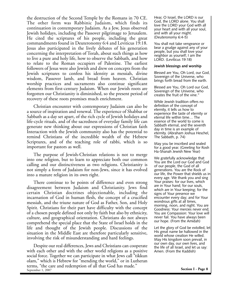the destruction of the Second Temple by the Romans in 70 CE. The other form was Rabbinic Judaism, which finds its continuation in contemporary Judaism. As a Jew, Jesus observed Jewish holidays, including the Passover pilgrimage to Jerusalem. He cited the scriptures of his people, including the great commandments found in Deuteronomy 6:4 and Leviticus 19:18. Jesus also participated in the lively debates of his generation concerning the interpretation of Torah, about such things as how to live a pure and holy life, how to observe the Sabbath, and how to relate to the Roman occupiers of Palestine. The earliest followers of Jesus were also Jewish and drew on concepts from the Jewish scriptures to confess his identity as messiah, divine wisdom, Passover lamb, and bread from heaven. Christian worship practices and sacraments also continue significant elements from first-century Judaism. When our Jewish roots are forgotten our Christianity is diminished, so the present period of recovery of these roots promises much enrichment.

Christian encounter with contemporary Judaism can also be a source of inspiration and renewal. The experience of Shabbat or Sabbath as a day set apart, of the rich cycle of Jewish holidays and life-cycle rituals, and of the sacredness of everyday family life can generate new thinking about our expressions of Christian faith Interaction with the Jewish community also has the potential to remind Christians of the incredible wealth of the Hebrew Scriptures, and of the teaching role of rabbi, which is so important for pastors as well.

The purpose of Jewish-Christian relations is not to merge into one religion, but to learn to appreciate both our common calling and our distinctiveness as two religions. Christianity is not simply a form of Judaism for non-Jews, since it has evolved into a mature religion in its own right.

There continue to be points of difference and even strong disagreement between Judaism and Christianity. Jews find certain Christian doctrines objectionable, including the incarnation of God in human flesh, the concept of a crucified messiah, and the triune nature of God as Father, Son, and Holy Spirit. Christians for their part have difficulty with the concept of a chosen people defined not only by faith but also by ethnicity, culture, and geographical orientation. Christians do not always comprehend the special place that the State of Israel holds in the life and thought of the Jewish people. Discussions of the situation in the Middle East are therefore particularly sensitive, involving the risk of misunderstanding and hard feelings.

September 1, 2007 **Section I - Page 8** Despite our real differences, Jews and Christians can cooperate with each other and with the other world religions as a positive social force. Together we can participate in what Jews call "tikkun olam," which is Hebrew for "mending the world," or in Lutheran terms, "the care and redemption of all that God has made."

Hear, O Israel, the LORD is our God, the LORD alone. You shall love the LORD your God with all your heart and with all your soul, and with all your might. (Deuteronomy 6:4-5)

You shall not take vengeance or bear a grudge against any of your people, but you shall love your neighbor as yourself; I am the LORD. (Leviticus 19:18)

#### **Jewish blessings and worship**

Blessed are You, Oh Lord, our God, Sovereign of the Universe, who brings forth bread from the earth.

Blessed are You, Oh Lord our God, Sovereign of the Universe, who creates the fruit of the vine."

While Jewish tradition offers no definition of the concept of eternity, it tells us how to experience the taste of eternity or eternal life within time… The essence of the world to come is Sabbath eternal, and the seventh day in time is an example of eternity. (Abraham Joshua Heschel, The Sabbath, p. 74)

May you be inscribed and sealed for a good year. (Greeting for Rosh Ha-Shanah Jewish New Year)

We gratefully acknowledge that You are the Lord our God and God of our people, the God of all generations. You are the Rock of our life, the Power that shields us in every age. We thank you and sing Your praises: for our lives, which are in Your hand; for our souls, which are in Your keeping; for the signs of Your presence we encounter every day; and for Your wondrous gifts at all times, morning, noon, and night. You are Goodness: Your mercies never end; You are Compassion: Your love will never fail. You have always been our hope. (From the Amidah)

Let the glory of God be extolled, let His great name be hallowed in the world whose creation He willed. May His kingdom soon prevail, in our own day, our own lives, and the life of all Israel, and let us say: Amen. (From the Kaddish)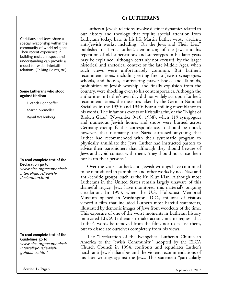#### **C) LUTHERANS**

Christians and Jews share a special relationship within the community of world religions. Their recent experience in building mutual respect and understanding can provide a model for wider interfaith relations. (Talking Points, #8)

#### **Some Lutherans who stood against Naziism**

Dietrich Bonhoeffer Martin Niemöller Raoul Wallenberg

#### **To read complete text of the Declaration go to** [www.elca.org/ecumenical/](http://www.elca.org/ecumenical/) interreligious/jewish/ declaration.html

**To read complete text of the Guidelines go to** [www.elca.org/ecumenical/](http://www.elca.org/ecumenical/) interreligious/jewish/ guidelines.html

September 1, 2007<br>
September 1, 2007

Lutheran-Jewish relations involve distinct dynamics related to our history and theology that require special attention from Lutherans today. Late in his life Martin Luther wrote virulent, anti-Jewish works, including "On the Jews and Their Lies," published in 1543. Luther's demonizing of the Jews and his repetition of old superstitions and stereotypes in his later years may be explained, although certainly not excused, by the larger historical and rhetorical context of the late Middle Ages, when such views were unfortunately common. But Luther's recommendations, including setting fire to Jewish synagogues, schools, and houses, confiscating prayer books and Talmuds, prohibition of Jewish worship, and finally expulsion from the country, were shocking even to his contemporaries. Although the authorities in Luther's own day did not widely act upon Luther's recommendations, the measures taken by the German National Socialists in the 1930s and 1940s bear a chilling resemblance to his words. The infamous events of Kristallnacht, or the "Night of Broken Glass" (November 9-10, 1938), when 119 synagogues and numerous Jewish homes and shops were burned across Germany exemplify this correspondence. It should be noted, however, that ultimately the Nazis surpassed anything that Luther had recommended with their systematic program to physically annihilate the Jews. Luther had instructed pastors to advise their parishioners that although they should beware of Jews and avoid contact with them, "they should not curse them nor harm their persons."

Over the years, Luther's anti-Jewish writings have continued to be reproduced in pamphlets and other works by neo-Nazi and anti-Semitic groups, such as the Ku Klux Klan. Although most Lutherans in the United States remain largely unaware of this shameful legacy, Jews have monitored this material's ongoing circulation. In 1993, when the U.S. Holocaust Memorial Museum opened in Washington, D.C., millions of visitors viewed a film that included Luther's most hateful statements, illustrated by demonic images of Jews from woodcuts of the time. This exposure of one of the worst moments in Lutheran history motivated ELCA Lutherans to take action, not to request that Luther's words be removed from the film, nor to excuse them, but to dissociate ourselves completely from his views.

The "Declaration of the Evangelical Lutheran Church in America to the Jewish Community," adopted by the ELCA Church Council in 1994, confronts and repudiates Luther's harsh anti-Jewish diatribes and the violent recommendations of his later writings against the Jews. This statement "particularly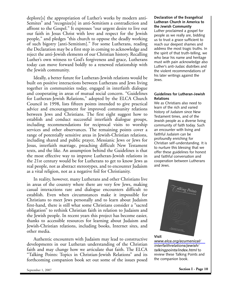deplore[s] the appropriation of Luther's works by modern anti-Semites" and "recognize[s] in anti-Semitism a contradiction and affront to the Gospel." It expresses "our urgent desire to live out our faith in Jesus Christ with love and respect for the Jewish people," and pledges "this church to oppose the deadly working of such bigotry [anti-Semitism]." For some Lutherans, reading the Declaration may be a first step in coming to acknowledge and reject the anti-Jewish elements of our Christian history. Recalling Luther's own witness to God's forgiveness and grace, Lutherans today can move forward boldly to a renewed relationship with the Jewish community.

Ideally, a better future for Lutheran-Jewish relations would be built on positive interactions between Lutherans and Jews living together in communities today, engaged in interfaith dialogue and cooperating in areas of mutual social concern. "Guidelines for Lutheran-Jewish Relations," adopted by the ELCA Church Council in 1998, lists fifteen points intended to give practical advice and encouragement for improved community relations between Jews and Christians. The first eight suggest how to establish and conduct successful interfaith dialogue groups, including recommendations for reciprocal visits to worship services and other observances. The remaining points cover a range of potentially sensitive areas in Jewish-Christian relations, including shared and public prayer, Messianic Jews or Jews for Jesus, interfaith marriage, preaching difficult New Testament texts, and the like. An assumption behind the Guidelines is that the most effective way to improve Lutheran-Jewish relations in the 21st century would be for Lutherans to get to know Jews as real people, not as abstract stereotypes, and to encounter Judaism as a vital religion, not as a negative foil for Christianity.

In reality, however, many Lutherans and other Christians live in areas of the country where there are very few Jews, making casual interactions rare and dialogue encounters difficult to establish. Even when circumstances make it impossible for Christians to meet Jews personally and to learn about Judaism first-hand, there is still what some Christians consider a "sacred obligation" to rethink Christian faith in relation to Judaism and the Jewish people. In recent years this project has become easier, thanks to accessible resources for learning about Judaism and Jewish-Christian relations, including books, Internet sites, and other media.

Authentic encounters with Judaism may lead to constructive developments in our Lutheran understanding of the Christian faith and may change how we articulate that faith. The ELCA "Talking Points: Topics in Christian-Jewish Relations" and its forthcoming companion book set out some of the issues posed

#### **Declaration of the Evangelical Lutheran Church in America to the Jewish Community**

Luther proclaimed a gospel for people as we really are, bidding us to trust a grace sufficient to reach our deepest shames and address the most tragic truths. In the spirit of that truth-telling, we who bear his name and heritage must with pain acknowledge also Luther's anti-Judaic diatribes and the violent recommendations of his later writings against the Jews.

#### **Guidelines for Lutheran-Jewish Relations**

We as Christians also need to learn of the rich and varied history of Judaism since New Testament times, and of the Jewish people as a diverse living community of faith today. Such an encounter with living and faithful Judaism can be profoundly enriching for Christian self-understanding. It is to nurture this blessing that we offer these guidelines for honest and faithful conversation and cooperation between Lutherans and Jews.



## **Visit**

[www.elca.org/ecumenical/](http://www.elca.org/ecumenical/) interfaithrelations/jewish/ talkingpoints/index.html to review these Talking Points and the companion book.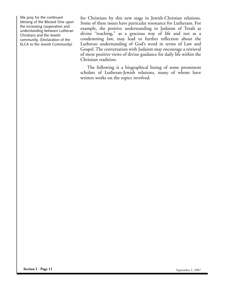We pray for the continued blessing of the Blessed One upon the increasing cooperation and understanding between Lutheran Christians and the Jewish community. (Declaration of the ELCA to the Jewish Community)

for Christians by this new stage in Jewish-Christian relations. Some of these issues have particular resonance for Lutherans. For example, the positive understanding in Judaism of Torah as divine "teaching," as a gracious way of life and not as a condemning law, may lead to further reflection about the Lutheran understanding of God's word in terms of Law and Gospel. The conversation with Judaism may encourage a retrieval of more positive views of divine guidance for daily life within the Christian tradition.

The following is a biographical listing of some prominent scholars of Lutheran-Jewish relations, many of whom have written works on the topics involved.

September 1, 2007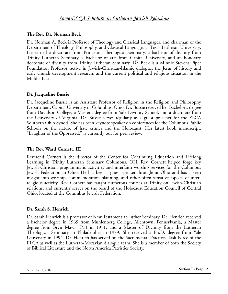#### **The Rev. Dr. Norman Beck**

Dr. Norman A. Beck is Professor of Theology and Classical Languages, and chairman of the Department of Theology, Philosophy, and Classical Languages at Texas Lutheran Universary. He earned a doctorate from Princeton Theological Seminary, a bachelor of divinity from Trinity Lutheran Seminary, a bachelor of arts from Capital University, and an honorary doctorate of divinity from Trinity Lutheran Seminary. Dr. Beck is a Minnie Stevens Piper Foundation Professor, active in Jewish-Christian-Islamic dialogue, the Jesus of history and early church development research, and the current political and religious situation in the Middle East.

#### **Dr. Jacqueline Bussie**

Dr. Jacqueline Bussie is an Assistant Professor of Religion in the Religion and Philosophy Department, Capital University in Columbus, Ohio. Dr. Bussie received her Bachelor's degree from Davidson College, a Master's degree from Yale Divinity School, and a doctorate from the University of Virginia. Dr. Bussie serves regularly as a guest preacher for the ELCA Southern Ohio Synod. She has been keynote speaker on conferences for the Columbus Public Schools on the nature of hate crimes and the Holocaust. Her latest book manuscript, "Laughter of the Oppressed," is currently out for peer review.

#### **The Rev. Ward Cornett, III**

Reverend Cornett is the director of the Center for Continuing Education and Lifelong Learning in Trinity Lutheran Seminary Columbus, OH. Rev. Cornett helped forge key Jewish-Christian programmatic activities and interfaith worship services for the Columbus Jewish Federation in Ohio. He has been a guest speaker throughout Ohio and has a keen insight into worship, commemoration planning, and other often sensitive aspects of interreligious activity. Rev. Cornett has taught numerous courses at Trinity on Jewish-Christian relations, and currently serves on the board of the Holocaust Education Council of Central Ohio, located at the Columbus Jewish Federation.

#### **Dr. Sarah S. Henrich**

Dr. Sarah Henrich is a professor of New Testament at Luther Seminary. Dr. Henrich received a bachelor degree in 1969 from Muhlenberg College, Allentown, Pennsylvania, a Master degree from Bryn Mawr (Pa.) in 1971, and a Master of Divinity from the Lutheran Theological Seminary in Philadelphia in 1979. She received a Ph.D. degree from Yale University in 1994. Dr. Henrich has served on the Sacramental Practices Task Force of the ELCA as well as the Lutheran-Moravian dialogue team. She is a member of both the Society of Biblical Literature and the North America Patristics Society.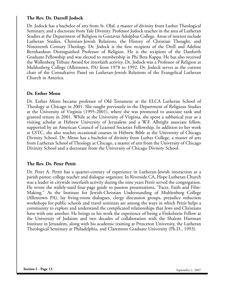#### **The Rev. Dr. Darrell Jodock**

Dr. Jodock has a bachelor of arts from St. Olaf, a master of divinity from Luther Theological Seminary, and a doctorate from Yale Divinity. Professor Jodock teaches in the area of Lutheran Studies at the Department of Religion in Gustavus Adolphus College. Areas of interest include Lutheran Studies, Christian-Jewish Relations, the History of Christian Thought, and Nineteenth Century Theology. Dr. Jodock is the first recipient of the Drell and Adeline Bernhardson Distinguished Professor of Religion. He is the recipient of the Danforth Graduate Fellowship and was elected to membership in Phi Beta Kappa. He has also received the Wallenberg Tribute Award for interfaith activity. Dr. Jodock was a Professor of Religion at Muhlenberg College (Allentown, PA) from 1978 to 1992. Dr. Jodock serves as the current chair of the Consultative Panel on Lutheran-Jewish Relations of the Evangelical Lutheran Church in America.

#### **Dr. Esther Menn**

Dr. Esther Menn became professor of Old Testament at the ELCA Lutheran School of Theology at Chicago in 2001. She taught previously in the Department of Religious Studies at the University of Virginia (1995-2001), where she was promoted to associate rank and granted tenure in 2001. While at the University of Virginia, she spent a sabbatical year as a visiting scholar at Hebrew University of Jerusalem and a W.F. Albright associate fellow, supported by an American Council of Learned Societies Fellowship. In addition to her work at LSTC, she also teaches occasional courses in Hebrew Bible at the University of Chicago Divinity School. Dr. Menn has a bachelor of divinity from Luther College, a master of arts from Lutheran School of Theology at Chicago, a master of arts from the University of Chicago Divinity School and a doctorate from the University of Chicago Divinity School.

#### **The Rev. Dr. Peter Pettit**

Dr. Peter A. Pettit has a quarter-century of experience in Lutheran-Jewish interaction as a parish pastor, college teacher and dialogue organizer. In Riverside CA, Hope Lutheran Church was a leader in citywide interfaith activity during the nine years Pettit served the congregation. He wrote the widely-used four-page guide to passion presentations, "Facts, Faith and Film-Making." At the Institute for Jewish-Christian Understanding of Muhlenberg College (Allentown PA), lay living-room dialogues, clergy discussion groups, prejudice reduction workshops for public schools and travel seminars are among the ways in which Pettit helps a community to explore and understand the complicated relationships that Jews and Christians have with one another. He brings to his work the experience of being a Finkelstein Fellow at the University of Judaism and two decades of collaboration with the Shalom Hartman Institute in Jerusalem, along with his academic training at Princeton University, the Lutheran Theological Seminary at Philadelphia, and Claremont Graduate University (Ph.D., 1993).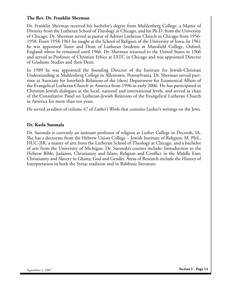#### **The Rev. Dr. Franklin Sherman**

Dr. Franklin Sherman received his bachelor's degree from Muhlenberg College, a Master of Divinity from the Lutheran School of Theology at Chicago, and his Ph.D. from the University of Chicago. Dr. Sherman served as pastor of Advent Lutheran Church in Chicago from 1956- 1958. From 1958-1961 he taught at the School of Religion of the University of Iowa. In 1961 he was appointed Tutor and Dean of Lutheran Students at Mansfield College, Oxford, England where he remained until 1966. Dr. Sherman returned to the United States in 1966 and served as Professor of Christian Ethics at LSTC in Chicago and was appointed Director of Graduate Studies and then Dean.

In 1989 he was appointed the founding Director of the Institute for Jewish-Christian Understanding at Muhlenberg College in Allentown, Pennsylvania. Dr. Sherman served parttime as Associate for Interfaith Relations of the (then) Department for Ecumenical Affairs of the Evangelical Lutheran Church in America from 1996 to early 2006. He has participated in Christian-Jewish dialogues at the local, national and international levels, and served as chair of the Consultative Panel on Lutheran-Jewish Relations of the Evangelical Lutheran Church in America for more than ten years.

He served as editor of volume 47 of *Luther's Works* that contains Luther's writings on the Jews.

#### **Dr. Karla Suomala**

Dr. Suomala is currently an assistant professor of religion at Luther College in Decorah, IA. She has a doctorate from the Hebrew Union College – Jewish Institute of Religion; M. Phil., HUC-JIR; a master of arts from the Lutheran School of Theology at Chicago, and a bachelor of arts from the University of Michigan. Dr. Suomala's courses include: Introduction to the Hebrew Bible; Judaism, Christianity and Islam; Religion and Conflict in the Middle East; Christianity and Slavery in Ghana; God and Gender. Areas of Research include the History of Interpretation in both the Syriac tradition and in Rabbinic literature.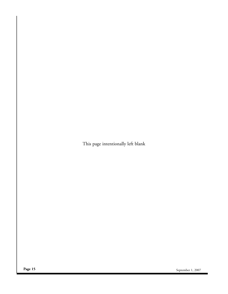This page intentionally left blank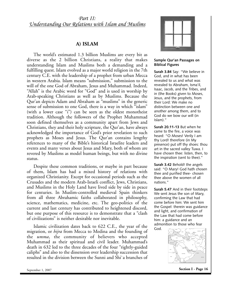#### **A) ISLAM**

The world's estimated 1.3 billion Muslims are every bit as diverse as the 2 billion Christians, a reality that makes understanding Islam and Muslims both a demanding and a fulfilling quest. Islam evolved as a major world religion in the 7th century C.E. with the leadership of a prophet from urban Mecca in western Arabia. Islam means "submission," submission to the will of the one God of Abraham, Jesus and Muhammad. Indeed, "Allah" is the Arabic word for "God" and is used in worship by Arab-speaking Christians as well as by Muslims. Because the Qur'an depicts Adam and Abraham as "muslims" in the generic sense of submission to one God, there is a way in which "islam" (with a lower case "i") can be seen as the oldest monotheist tradition. Although the followers of the Prophet Muhammad soon defined themselves as a community apart from Jews and Christians, they and their holy scripture, the Qur'an, have always acknowledged the importance of God's prior revelation to such prophets as Moses and Jesus. The Qur'an contains lengthy references to many of the Bible's historical Israelite leaders and events and many verses about Jesus and Mary, both of whom are revered by Muslims as model human beings, but with no divine status.

Despite these common traditions, or maybe in part because of them, Islam has had a mixed history of relations with organized Christianity. Except for occasional periods such as the Crusades and the modern Arab-Israeli conflict, Jews, Christians, and Muslims in the Holy Land have lived side by side in peace for centuries. In Muslim-controlled medieval Spain thinkers from all three Abrahamic faiths collaborated in philosophy, science, mathematics, medicine, etc. The geo-politics of the current and last century has contributed to heightened discord, but one purpose of this resource is to demonstrate that a "clash of civilizations" is neither desirable nor inevitable.

Islamic civilization dates back to 622 C.E., the year of the migration, or *hijra* from Mecca to Medina and the founding of the *umma*, the community of believers who accepted Muhammad as their spiritual and civil leader. Muhammad's death in 632 led to the three decades of the four "rightly-guided caliphs" and also to the dissension over leadership succession that resulted in the division between the Sunni and Shi`a branches of



#### **Sample Qur'an Passages on Biblical Figures**

**Surah 3.84** Say: "We believe in God, and in what has been revealed to us and what was revealed to Abraham, Isma'il, Isaac, Jacob, and the Tribes, and in (the Books) given to Moses, Jesus, and the prophets, from their Lord: We make no distinction between one and another among them, and to God do we bow our will (in Islam)."

**Surah 20.11-13** But when he came to the fire, a voice was heard: "O Moses! Verily I am thy Lord! therefore (in My presence) put off thy shoes: thou art in the sacred valley Tuwa. I have chosen thee: listen, then, to the inspiration (sent to thee)."

**Surah 3.42** Behold! the angels said: "O Mary! God hath chosen thee and purified thee- chosen thee above the women of all nations."

**Surah 5.47** And in their footsteps We sent Jesus the son of Mary, confirming the Law that had come before him: We sent him the Gospel: therein was guidance and light, and confirmation of the Law that had come before him: a guidance and an admonition to those who fear

God.

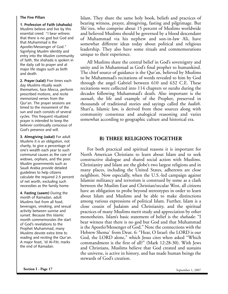#### **The Five Pillars**

**1. Profession of Faith (shahada)** Muslims believe and live by this essential creed: "I bear witness that there is no god but God and that Muhammad is the Apostle/Messenger of God." Signifying Muslim identity and entry into the Muslim community of faith, the shahada is spoken in the daily call to prayer and at major life stages such as birth and death.

**2. Prayer (salat)** Five times each day Muslims ritually wash themselves, face Mecca, perform prescribed motions, and recite memorized verses from the Qur'an. The prayer sessions are timed to the movement of the sun and each consists of several cycles. This frequent ritualized prayer is intended to keep the believer continually conscious of God's presence and will.

**3. Almsgiving (zakat)** For adult Muslims it is an obligation, not charity, to give a percentage of one's wealth each year to such communal causes as the care of widows, orphans, and the poor. Muslim governments such as Saudi Arabia provide detailed guidelines to help citizens calculate the required 2.5 percent of net worth, excluding such necessities as the family home.

**4. Fasting (sawm)** During the month of Ramadan, adult Muslims fast from all food, beverages, smoking, and sexual activity between sunrise and sunset. Because this Islamic month commemorates the start of God's revelations to the Prophet Muhammad, many Muslims devote extra time to reading and reciting the Qur'an. A major feast, `Id Al-Fitr, marks the end of Ramadan.

Islam. They share the same holy book, beliefs and practices of bearing witness, prayer, almsgiving, fasting and pilgrimage. But Shi`ites, who comprise about 15 percent of Muslims worldwide and believed Muslims should be governed by a blood descendant of Muhammad via his nephew and son-in-law Ali, have somewhat different ideas today about political and religious leadership. They also have some rituals and commemorations unique to their experience.

All Muslims share the central belief in God's sovereignty and unity and in Muhammad as God's final prophet to humankind. The chief source of guidance is the Qur'an, believed by Muslims to be Muhammad's recitations of words revealed to him by God through the angel Gabriel between 610 and 632 C.E. These recitations were collected into 114 chapters or surahs during the decades following Muhammad's death. Also important is the *sunnah*, the life and example of the Prophet, preserved in thousands of traditional stories and sayings called the *hadith*. Shari'a, Islamic law, is derived from these sources along with community consensus and analogical reasoning and varies somewhat according to geographic culture and historical era.

#### **B) THREE RELIGIONS TOGETHER**

For both practical and spiritual reasons it is important for North American Christians to learn about Islam and to seek constructive dialogue and shared social action with Muslims. Christianity and Islam are the globe's two largest religions and in many places, including the United States, adherents are close neighbors. Now especially, when the U.S.-led campaign against Islamist militancy and terrorism is construed by some as a clash between the Muslim East and Christian/secular West, all citizens have an obligation to probe beyond stereotypes in order to learn about Islam and Muslims and be able to make distinctions among various expressions of political Islam. Further, Islam is a close cousin of Judaism and Christianity, and the spiritual practices of many Muslims merit study and appreciation by other monotheists. Islam's basic statement of belief is the *shahada*: "I bear witness that there is no god but God and that Muhammad is the Apostle/Messenger of God." Note the connections with the Hebrew Shema` from Deut. 6: "Hear, O Israel: the LORD is our God, the LORD alone," which Jesus cites when asked "Which commandment is the first of all?" (Mark 12:28-30). With Jews and Christians, Muslims believe that God created and sustains the universe, is active in history, and has made human beings the stewards of God's creation.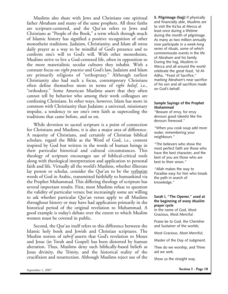Muslims also share with Jews and Christians one spiritual father Abraham and many of the same prophets. All three faiths are scripture-centered, and the Qur'an refers to Jews and Christians as "People of the Book," a term which through much of Islamic history has signified a positive recognition of other monotheist traditions. Judaism, Christianity, and Islam all stress daily prayer as a way to be mindful of God's presence and to conform one's will to God's will. With other monotheists, Muslims strive to live a God-centered life, often in opposition to the more materialistic secular cultures they inhabit. With a constant focus on *right practice* and God's law, Judaism and Islam are primarily religions of "orthopraxy." Although earliest Christianity also had such a focus, contemporary Christians often define themselves more in terms of *right belief*, i.e., "orthodoxy." Some American Muslims assert that they often cannot tell by behavior who among their work colleagues are confessing Christians. In other ways, however, Islam has more in common with Christianity than Judaism: a universal, missionary impulse, a tendency to see one's own faith as superceding the traditions that came before, and so on.

While devotion to sacred scripture is a point of connection for Christians and Muslims, it is also a major area of difference. A majority of Christians, and certainly of Christian biblical scholars, regard the Bible as the Word of God, i.e., content inspired by God but written in the words of human beings in their particular historical and cultural circumstances. This theology of scripture encourages use of biblical-critical tools along with theological interpretation and application to personal faith and life. Virtually all the world's Muslims, whether illiterate lay person or scholar, consider the Qur'an to be the verbatim words of God in Arabic, transmitted faithfully to humankind via the Prophet Muhammad. This differing theology of scripture has several important results. First, most Muslims refuse to question the validity of particular verses; but increasingly some are willing to ask whether particular Qur'an verses apply to all Muslims throughout history or may have had application primarily in the historical period of the original revelation to Muhammad. A good example is today's debate over the extent to which Muslim women must be covered in public.

Second, the Qur'an itself refers to this difference between the Islamic holy book and Jewish and Christian scriptures. The Muslim notion of *tahrif* asserts that God's revelation to Moses and Jesus (in Torah and Gospel) has been distorted by human alteration. Thus, Muslims deny such biblically-based beliefs as Jesus divinity, the Trinity, and the historical reality of the crucifixion and resurrection. Although Muslims reject use of the **5. Pilgrimage (hajj)** If physically and financially able, Muslims are to visit the Ka`ba at Mecca at least once during a lifetime during the month of pilgrimage. As many as two million annually now participate in a week-long series of rituals, some of which commemorate events in the life of Abraham and his family. During the hajj, Muslims in Mecca and all around the world celebrate the great feast, 'Id Al-Adha, "Feast of Sacrifice," marking Abraham's near sacrifice of his son and all sacrifices made on God's behalf.

#### **Sample Sayings of the Prophet Muhammad**

"Beware of envy, for envy devours good (deeds) like fire devours firewood."

"When you cook soup add more water, remembering your neighbours."

"The believers who show the most perfect faith are those who have the best character, and the best of you are those who are best to their wives."

"Allah makes the way to Paradise easy for him who treads the path in search of knowledge."

#### **Surah I, "The Opener," used at the beginning of every Muslim prayer cycle**

In the name of God, Most Gracious, Most Merciful.

Praise be to God, the Cherisher and Sustainer of the worlds;

Most Gracious, Most Merciful;

Master of the Day of Judgment.

Thee do we worship, and Thine aid we seek.

Show us the straight way,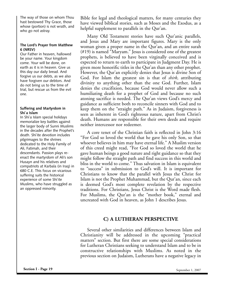The way of those on whom Thou hast bestowed Thy Grace, those whose (portion) is not wrath, and who go not astray.

#### **The Lord's Prayer from Matthew 6 (NRSV)**

Our Father in heaven, hallowed be your name. Your kingdom come. Your will be done, on earth as it is in heaven. Give us this day our daily bread. And forgive us our debts, as we also have forgiven our debtors. And do not bring us to the time of trial, but rescue us from the evil one.

#### **Suffering and Martyrdom in Shi`a Islam**

In Shi`a Islam special holidays memorialize key battles against the larger body of Sunni Muslims in the decades after the Prophet's death. Shi`ite devotion includes pilgrimages to the shrines dedicated to the Holy Family of Ali, Fatimah, and their descendants. Passion plays reenact the martyrdom of Ali's son Husayn and his relatives and compatriots at Karbala (in Iraq) in 680 C.E. This focus on vicarious suffering suits the historical experience of some Shi`ite Muslims, who have struggled as an oppressed minority.

Bible for legal and theological matters, for many centuries they have viewed biblical stories, such as Moses and the Exodus, as a helpful supplement to parallels in the Qur'an.

Many Old Testament stories have such Qur'anic parallels, and Jesus and Mary are important figures. Mary is the only woman given a proper name in the Qur'an, and an entire surah (#19) is named "Maryam." Jesus is considered one of the greatest prophets, is believed to have been virginally conceived and is expected to return to earth to participate in Judgment Day. He is given more honorific titles in the Qur'an than any other prophet. However, the Qur'an explicitly denies that Jesus is divine Son of God. For Islam the greatest sin is that of *shirk*, attributing divinity to anything other than the one God. Further, Islam denies the crucifixion, because God would never allow such a humiliating death for a prophet of God and because no such atoning sacrifice is needed. The Qur'an views God's mercy and guidance as sufficient both to reconcile sinners with God and to keep them on the "straight path." As in Judaism, forgiveness is seen as inherent in God's righteous nature, apart from Christ's death. Humans are responsible for their own deeds and require neither intercessor nor redeemer.

A core tenet of the Christian faith is reflected in John 3:16 "For God so loved the world that he gave his only Son, so that whoever believes in him may have eternal life." A Muslim version of this creed might read, "For God so loved the world that he gave human beings a good nature and right guidance so that they might follow the straight path and find success in this world and bliss in the world to come." Thus salvation in Islam is equivalent to "success" in submission to God's will. It is important for Christians to know that the parallel with Jesus the Christ for Islam is not the Prophet Muhammad, but the Qur'an, since each is deemed God's most complete revelation by the respective traditions. For Christians, Jesus Christ is the Word made flesh. For Muslims, the Qur'an is the "mother book," eternal and uncreated with God in heaven, as John 1 describes Jesus.

#### **C) A LUTHERAN PERSPECTIVE**

Several other similarities and differences between Islam and Christianity will be addressed in the upcoming "practical matters" section. But first there are some special considerations for Lutheran Christians seeking to understand Islam and to be in constructive relationships with Muslims. As noted in the previous section on Judaism, Lutherans have a negative legacy in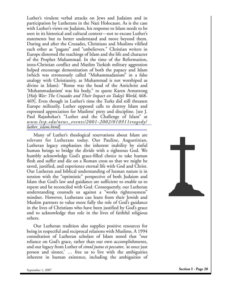Luther's virulent verbal attacks on Jews and Judaism and in participation by Lutherans in the Nazi Holocaust. As is the case with Luther's views on Judaism, his response to Islam needs to be seen in its historical and cultural context—not to excuse Luther's statements but to better understand and move beyond them. During and after the Crusades, Christians and Muslims vilified each other as "pagans" and "unbelievers." Christian writers in Europe distorted the teachings of Islam and the life and character of the Prophet Muhammad. In the time of the Reformation, intra-Christian conflict and Muslim Turkish military aggression helped encourage demonization of both the papacy and Islam (which was erroneously called "Mohammadanism" in a false analogy with Christianity, as Muhammad is not worshiped as divine in Islam): "Rome was the head of the Antichrist and 'Mohammadanism' was his body," to quote Karen Armstrong [*Holy War: The Crusades and Their Impact on Today's World*, 468- 469]. Even though in Luther's time the Turks did still threaten Europe militarily, Luther opposed calls to destroy Islam and expressed appreciation for Muslims' piety and discipline. [see J. Paul Rajashekar's "Luther and the Challenge of Islam" at *[www.ltsp.edu/news\\_events/2001-2002/010911tragedy/](http://www.ltsp.edu/news_events/2001-2002/010911tragedy/luther_islam.html) luther\_islam.html*]

Many of Luther's theological reservations about Islam are relevant for Lutherans today. Our Pauline, Augustinian, Lutheran legacy emphasizes the inherent inability by sinful human beings to bridge the divide with a righteous God. We humbly acknowledge God's grace-filled choice to take human flesh and suffer and die on a Roman cross so that we might be saved, justified, and experience eternal life with God and Christ. Our Lutheran and biblical understanding of human nature is in tension with the "optimistic" perspective of both Judaism and Islam that God's law and guidance are sufficient to enable us to repent and be reconciled with God. Consequently, our Lutheran understanding counsels us against a "works righteousness" mindset. However, Lutherans can learn from their Jewish and Muslim partners to value more fully the role of God's guidance in the lives of Christians who have been justified by God's grace and to acknowledge that role in the lives of faithful religious others.

Our Lutheran tradition also supplies positive resources for being in respectful and reciprocal relations with Muslims. A 1994 consultation of Lutheran scholars of Islam noted that "our reliance on God's grace, rather than our own accomplishments, and our legacy from Luther of *simul justus et peccator*, 'at once just person and sinner,' … free us to live with the ambiguities inherent in human existence, including the ambiguities of

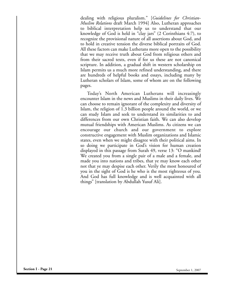dealing with religious pluralism." [*Guidelines for Christian-Muslim Relations* draft March 1994] Also, Lutheran approaches to biblical interpretation help us to understand that our knowledge of God is held in "clay jars" (2 Corinthians 4:7), to recognize the provisional nature of all assertions about God, and to hold in creative tension the diverse biblical portraits of God. All these factors can make Lutherans more open to the possibility that we may receive truth about God from religious others and from their sacred texts, even if for us these are not canonical scripture. In addition, a gradual shift in western scholarship on Islam permits us a much more refined understanding, and there are hundreds of helpful books and essays, including many by Lutheran scholars of Islam, some of whom are on the following pages.

Today's North American Lutherans will increasingly encounter Islam in the news and Muslims in their daily lives. We can choose to remain ignorant of the complexity and diversity of Islam, the religion of 1.3 billion people around the world, or we can study Islam and seek to understand its similarities to and differences from our own Christian faith. We can also develop mutual friendships with American Muslims. As citizens we can encourage our church and our government to explore constructive engagement with Muslim organizations and Islamic states, even when we might disagree with their political aims. In so doing we participate in God's vision for human creation displayed in this passage from Surah 49, verse 13: "O mankind! We created you from a single pair of a male and a female, and made you into nations and tribes, that ye may know each other not that ye may despise each other. Verily the most honoured of you in the sight of God is he who is the most righteous of you. And God has full knowledge and is well acquainted with all things" [translation by Abdullah Yusuf Ali].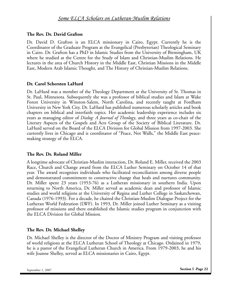#### **The Rev. Dr. David Grafton**

Dr. David D. Grafton is an ELCA missionary in Cairo, Egypt. Currently he is the Coordinator of the Graduate Program at the Evangelical (Presbyterian) Theological Seminary in Cairo. Dr. Grafton has a PhD in Islamic Studies from the University of Birmingham, UK where he studied at the Centre for the Study of Islam and Christian-Muslim Relations. He lectures in the area of Church History in the Middle East, Christian Missions in the Middle East, Modern Arab Islamic Thought, and The History of Christian-Muslim Relations.

#### **Dr. Carol Schersten LaHurd**

Dr. LaHurd was a member of the Theology Department at the University of St. Thomas in St. Paul, Minnesota. Subsequently she was a professor of biblical studies and Islam at Wake Forest University in Winston-Salem, North Carolina, and recently taught at Fordham University in New York City. Dr. LaHurd has published numerous scholarly articles and book chapters on biblical and interfaith topics. Her academic leadership experience includes six years as managing editor of *Dialog: A Journal of Theology*, and three years as co-chair of the Literary Aspects of the Gospels and Acts Group of the Society of Biblical Literature. Dr. LaHurd served on the Board of the ELCA Division for Global Mission from 1997-2003. She currently lives in Chicago and is coordinator of "Peace, Not Walls," the Middle East peacemaking strategy of the ELCA.

#### **The Rev. Dr. Roland Miller**

A longtime advocate of Christian-Muslim interaction, Dr. Roland E. Miller, received the 2003 Race, Church and Change award from the ELCA Luther Seminary on October 14 of that year. The award recognizes individuals who facilitated reconciliation among diverse people and demonstrated commitment to constructive change that heals and nurtures community. Dr. Miller spent 23 years (1953-76) as a Lutheran missionary in southern India. Upon returning to North America, Dr. Miller served as academic dean and professor of Islamic studies and world religions at the University of Regina and Luther College in Saskatchewan, Canada (1976-1993). For a decade, he chaired the Christian-Muslim Dialogue Project for the Lutheran World Federation (LWF). In 1993, Dr. Miller joined Luther Seminary as a visiting professor of missions and there established the Islamic studies program in conjunction with the ELCA Division for Global Mission.

### **The Rev. Dr. Michael Shelley**

Dr. Michael Shelley is the director of the Doctor of Ministry Program and visiting professor of world religions at the ELCA Lutheran School of Theology at Chicago. Ordained in 1979, he is a pastor of the Evangelical Lutheran Church in America. From 1979-2003, he and his wife Joanne Shelley, served as ELCA missionaries in Cairo, Egypt.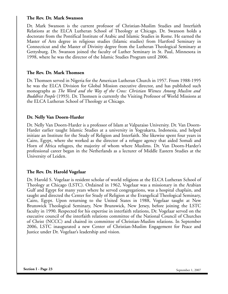#### **The Rev. Dr. Mark Swanson**

Dr. Mark Swanson is the current professor of Christian-Muslim Studies and Interfaith Relations at the ELCA Lutheran School of Theology at Chicago. Dr. Swanson holds a doctorate from the Pontifical Institute of Arabic and Islamic Studies in Rome. He earned the Master of Arts degree in religious studies (Islamic studies) from Hartford Seminary in Connecticut and the Master of Divinity degree from the Lutheran Theological Seminary at Gettysburg. Dr. Swanson joined the faculty of Luther Seminary in St. Paul, Minnesota in 1998, where he was the director of the Islamic Studies Program until 2006.

#### **The Rev. Dr. Mark Thomsen**

Dr. Thomsen served in Nigeria for the American Lutheran Church in 1957. From 1988-1995 he was the ELCA Division for Global Mission executive director, and has published such monographs as *The Word and the Way of the Cross: Christian Witness Among Muslim and Buddhist People* (1993). Dr. Thomsen is currently the Visiting Professor of World Missions at the ELCA Lutheran School of Theology at Chicago.

#### **Dr. Nelly Van Doorn-Harder**

Dr. Nelly Van Doorn-Harder is a professor of Islam at Valparaiso University. Dr. Van Doorn-Harder earlier taught Islamic Studies at a university in Yogyakarta, Indonesia, and helped initiate an Institute for the Study of Religion and Interfaith. She likewise spent four years in Cairo, Egypt, where she worked as the director of a refugee agency that aided Somali and Horn of Africa refugees, the majority of whom where Muslims. Dr. Van Doorn-Harder's professional career began in the Netherlands as a lecturer of Middle Eastern Studies at the University of Leiden.

#### **The Rev. Dr. Harold Vogelaar**

Dr. Harold S. Vogelaar is resident scholar of world religions at the ELCA Lutheran School of Theology at Chicago (LSTC). Ordained in 1962, Vogelaar was a missionary in the Arabian Gulf and Egypt for many years where he served congregations, was a hospital chaplain, and taught and directed the Center for Study of Religion at the Evangelical Theological Seminary, Cairo, Egypt. Upon returning to the United States in 1988, Vogelaar taught at New Brunswick Theological Seminary, New Brunswick, New Jersey, before joining the LSTC faculty in 1990. Respected for his expertise in interfaith relations, Dr. Vogelaar served on the executive council of the interfaith relations committee of the National Council of Churches of Christ (NCCC) and chaired its committee of Christian-Muslim relations. In September 2006, LSTC inaugurated a new Center of Christian-Muslim Engagement for Peace and Justice under Dr. Vogelaar's leadership and vision.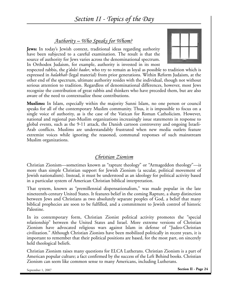*Authority – Who Speaks for Whom?*

**Jews:** In today's Jewish context, traditional ideas regarding authority have been subjected to a careful examination. The result is that the source of authority for Jews varies across the denominational spectrum. In Orthodox Judaism, for example, authority is invested in its most



respected rabbis, the *g'dolei hador*, who try to remain as loyal as possible to tradition which is expressed in *halakhah* (legal material) from prior generations. Within Reform Judaism, at the other end of the spectrum, ultimate authority resides with the individual, though not without serious attention to tradition. Regardless of denominational differences, however, most Jews recognize the contribution of great rabbis and thinkers who have preceded them, but are also aware of the need to contextualize those contributions.

**Muslims:** In Islam, especially within the majority Sunni Islam, no one person or council speaks for all of the contemporary Muslim community. Thus, it is impossible to focus on a single voice of authority, as is the case of the Vatican for Roman Catholicism. However, national and regional pan-Muslim organizations increasingly issue statements in response to global events, such as the 9-11 attack, the Danish cartoon controversy and ongoing Israeli-Arab conflicts. Muslims are understandably frustrated when new media outlets feature extremist voices while ignoring the reasoned, communal responses of such mainstream Muslim organizations.

## *Christian Zionism*

Christian Zionism—sometimes known as "rapture theology" or "Armageddon theology"—is more than simple Christian support for Jewish Zionism (a secular, political movement of Jewish nationalism). Instead, it must be understood as an ideology for political activity based in a particular system of American Christian biblical interpretation.

That system, known as "premillennial dispensationalism," was made popular in the late nineteenth-century United States. It features belief in the coming Rapture, a sharp distinction between Jews and Christians as two absolutely separate peoples of God, a belief that many biblical prophecies are soon to be fulfilled, and a commitment to Jewish control of historic Palestine.

In its contemporary form, Christian Zionist political activity promotes the "special relationship" between the United States and Israel. More extreme versions of Christian Zionism have advocated religious wars against Islam in defense of "Judeo-Christian civilization." Although Christian Zionists have been mobilized politically in recent years, it is important to remember that their political positions are based, for the most part, on sincerely held theological beliefs.

Christian Zionism raises many questions for ELCA Lutherans. Christian Zionism is a part of American popular culture; a fact confirmed by the success of the Left Behind books. Christian Zionism can seem like common sense to many Americans, including Lutherans.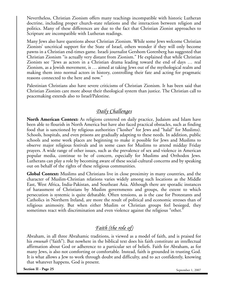Nevertheless, Christian Zionism offers many teachings incompatible with historic Lutheran doctrine, including proper church-state relations and the interaction between religion and politics. Many of these differences are due to the fact that Christian Zionist approaches to Scripture are incompatible with Lutheran readings.

Many Jews also have questions about Christian Zionism. While some Jews welcome Christian Zionists' uncritical support for the State of Israel, others wonder if they will only become pawns in a Christian end-times game. Israeli journalist Gershom Gorenberg has suggested that Christian Zionism "is actually very distant from Zionism." He explained that while Christian Zionists see "Jews as actors in a Christian drama leading toward the end of days … real Zionism, as a Jewish movement, is … aimed at taking Jews out of the mythological realm and making them into normal actors in history, controlling their fate and acting for pragmatic reasons connected to the here and now."

Palestinian Christians also have severe criticisms of Christian Zionism. It has been said that Christian Zionists care more about their theological system than justice. The Christian call to peacemaking extends also to Israel/Palestine.

## *Daily Challenges*

**North American Context:** As religions centered on daily practice, Judaism and Islam have been able to flourish in North America but have also faced practical obstacles, such as finding food that is sanctioned by religious authorities ("kosher" for Jews and "halal" for Muslims). Schools, hospitals, and even prisons are gradually adapting to these needs. In addition, public schools and some work places are beginning to make it possible for Jews and Muslims to observe major religious festivals and in some cases for Muslims to attend midday Friday prayers. A wide range of other issues, such as the prevalence of sex and violence in American popular media, continue to be of concern, especially for Muslims and Orthodox Jews. Lutherans can play a role by becoming aware of these social-cultural concerns and by speaking out on behalf of the rights of these religious communities.

**Global Context:** Muslims and Christians live in close proximity in many countries, and the character of Muslim-Christian relations varies widely among such locations as the Middle East, West Africa, India-Pakistan, and Southeast Asia. Although there are sporadic instances of harassment of Christians by Muslim governments and groups, the extent to which persecution is systemic is quite debatable. Often tensions, as is the case for Protestants and Catholics in Northern Ireland, are more the result of political and economic stresses than of religious animosity. But when either Muslim or Christian groups feel besieged, they sometimes react with discrimination and even violence against the religious "other."

## *Faith (the role of)*

Abraham, in all three Abrahamic traditions, is viewed as a model of faith, and is praised for his *emunah* ("faith"). But nowhere in the biblical text does his faith constitute an intellectual affirmation about God or adherence to a particular set of beliefs. Faith for Abraham, as for many Jews, is also not comforting or comfortable. Instead, faith is grounded in trusting God. It is what allows a Jew to work through doubt and difficulty, and to act confidently, knowing that whatever happens, God is present.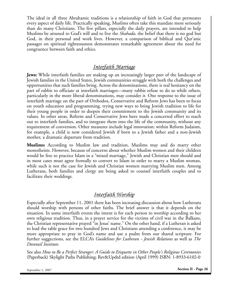The ideal in all three Abrahamic traditions is a relationship of faith in God that permeates every aspect of daily life. Practically speaking, Muslims often take this mandate more seriously than do many Christians. The five pillars, especially the daily prayers, are intended to help Muslims be attuned to God's will and to live the *Shahada*, the belief that there is no god but God, in their personal and work lives. However, a comparison of biblical and Qur'anic passages on spiritual righteousness demonstrates remarkable agreement about the need for congruence between faith and ethics.

## *Interfaith Marriage*

**Jews:** While interfaith families are making up an increasingly larger part of the landscape of Jewish families in the United States, Jewish communities struggle with both the challenges and opportunities that such families bring. Across the denominations, there is real hesitancy on the part of rabbis to officiate at interfaith marriages—many rabbis refuse to do so while others, particularly in the more liberal denominations, may consider it. One response to the issue of interfaith marriage on the part of Orthodox, Conservative and Reform Jews has been to focus on youth education and programming, trying new ways to bring Jewish tradition to life for their young people in order to deepen their commitment to the Jewish community and its values. In other areas, Reform and Conservative Jews have made a concerted effort to reach out to interfaith families, and to integrate them into the life of the community, without any requirement of conversion. Other measures include legal innovation: within Reform Judaism, for example, a child is now considered Jewish if born to a Jewish father and a non-Jewish mother, a dramatic departure from tradition.

**Muslims:** According to Muslim law and tradition, Muslims may and do marry other monotheists. However, because of concerns about whether Muslim women and their children would be free to practice Islam in a "mixed marriage," Jewish and Christian men should and in most cases must agree formally to convert to Islam in order to marry a Muslim woman, while such is not the case for Jewish and Christian women marrying Muslim men. Among Lutherans, both families and clergy are being asked to counsel interfaith couples and to facilitate their weddings.

## *Interfaith Worship*

Especially after September 11, 2001 there has been increasing discussion about how Lutherans should worship with persons of other faiths. The brief answer is that it depends on the situation. In some interfaith events the intent is for each person to worship according to her own religious tradition. Thus, in a prayer service for the victims of civil war in the Balkans, the Christian representative prayed "in Jesus' name." On the other hand, if a Lutheran is asked to lead the table grace for two hundred Jews and Christians attending a conference, it may be more appropriate to pray in God's name and use a psalm from our shared scripture. For further suggections, see the ELCA's *Guidelines for Lutheran - Jewish Relations* as well as *The Dovetail Institute*.

See also *How to Be a Perfect Stranger: A Guide to Etiquette in Other People's Religious Ceremonies* (Paperback) Skylight Paths Publishing; Rev&Updtd edition (April 1999) ISBN: 1-8933-6102-0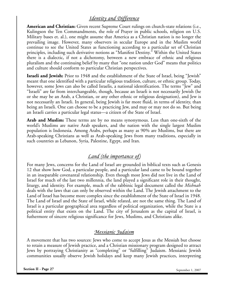## *Identity and Difference*

**American and Christian:** Given recent Supreme Court rulings on church-state relations (i.e., Kulingson the Ten Commandments, the role of Prayer in public schools, religion on U.S. Military bases et. al.), one might assume that America as a Christian nation is no longer the prevailing image. However, many observers in secular Europe and in the Muslim world continue to see the United States as functioning according to a particular set of Christian principles, including such derivative notions as "Manifest Destiny." Within the United States there is a dialectic, if not a dichotomy, between a new embrace of ethnic and religious pluralism and the continuing belief by many that "one nation under God" means that politics and culture should conform to particular Christian perspectives.

**Israeli and Jewish:** Prior to 1948 and the establishment of the State of Israel, being "Jewish" meant that one identified with a particular religious tradition, culture, or ethnic group. Today, however, some Jews can also be called Israelis, a national identification. The terms "Jew" and "Israeli" are far from interchangeable, though, because an Israeli is not necessarily Jewish (he or she may be an Arab, a Christian, or any other ethnic or religious designation), and Jew is not necessarily an Israeli. In general, being Jewish is far more fluid, in terms of identity, than being an Israeli. One can choose to be a practicing Jew, and may or may not do so. But being an Israeli carries a particular legal status—a citizen of the State of Israel.

**Arab and Muslim:** These terms are by no means synonymous. Less than one-sixth of the world's Muslims are native Arab speakers, and the nation with the single largest Muslim population is Indonesia. Among Arabs, perhaps as many as 90% are Muslims, but there are Arab-speaking Christians as well as Arab-speaking Jews from many traditions, especially in such countries as Lebanon, Syria, Palestine, Egypt, and Iran.

## *Land (the importance of)*

For many Jews, concerns for the Land of Israel are grounded in biblical texts such as Genesis 12 that show how God, a particular people, and a particular land came to be bound together in an inseparable covenantal relationship. Even though most Jews did not live in the Land of Israel for much of the last two millennia, the land played a significant role in their thought, liturgy, and identity. For example, much of the rabbinic legal document called the *Mishnah* deals with the laws that can only be observed within the Land. The Jewish attachment to the Land of Israel has become more complex since the establishment of the State of Israel in 1948. The Land of Israel and the State of Israel, while related, are not the same thing. The Land of Israel is a particular geographical area regardless of political organization, while the State is a political entity that exists on the Land. The city of Jerusalem as the capital of Israel, is futhermore of sincere religious significance for Jews, Muslims, and Christians alike.

### *Messianic Judaism*

A movement that has two sources: Jews who come to accept Jesus as the Messiah but choose to retain a measure of Jewish practice, and a Christian missionary program designed to attract Jews by portraying Christianity as "completing" or "fulfilling" Judaism. Messianic Jewish communities usually observe Jewish holidays and keep many Jewish practices, interpreting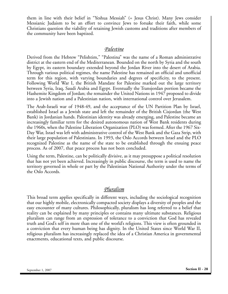them in line with their belief in "Yeshua Messiah" (= Jesus Christ). Many Jews consider Messianic Judaism to be an effort to convince Jews to forsake their faith, while some Christians question the viability of retaining Jewish customs and traditions after members of the community have been baptized.

#### *Palestine*

Derived from the Hebrew "Pelishtim," "Palestina" was the name of a Roman administrative district at the eastern end of the Mediterranean. Bounded on the north by Syria and the south by Egypt, its eastern boundary extended beyond the Jordan River into the desert of Arabia. Through various political regimes, the name Palestine has remained an official and unofficial term for this region, with varying boundaries and degrees of specificity, to the present. Following World War I, the British Mandate for Palestine marked out the large territory between Syria, Iraq, Saudi Arabia and Egypt. Eventually the Transjordan portion became the Hashemite Kingdom of Jordan; the remainder the United Nations in 1947 proposed to divide into a Jewish nation and a Palestinian nation, with international control over Jerusalem.

The Arab-Israeli war of 1948-49, and the acceptance of the UN Partition Plan by Israel, established Israel as a Jewish state and left the remainder of the British Cisjordan (the West Bank) in Jordanian hands. Palestinian identity was already emerging, and Palestine became an increasingly familiar term for the desired autonomous nation of West Bank residents during the 1960s, when the Palestine Liberation Organization (PLO) was formed. After the 1967 Six-Day War, Israel was left with administrative control of the West Bank and the Gaza Strip, with their large population of Palestinians. In 1993, the Oslo Accords between Israel and the PLO recognized Palestine as the name of the state to be established through the ensuing peace process. As of 2007, that peace process has not been concluded.

Using the term, Palestine, can be politically divisive, as it may presuppose a political resolution that has not yet been achieved. Increasingly in public discourse, the term is used to name the territory governed in whole or part by the Palestinian National Authority under the terms of the Oslo Accords.

### *Pluralism*

This broad term applies specifically in different ways, including the sociological recognition that our highly mobile, electronically compacted society displays a diversity of peoples and the easy encounter of many cultures. Philosophically, pluralism has long referred to a belief that reality can be explained by many principles or contains many ultimate substances. Religious pluralism can range from an expression of tolerance to a conviction that God has revealed truth and God's self in more than one of the world's religions. This view is often grounded in a conviction that every human being has dignity. In the United States since World War II, religious pluralism has increasingly replaced the idea of a Christian America in governmental enactments, educational texts, and public discourse.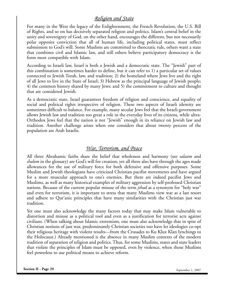## *Religion and State*

For many in the West the legacy of the Enlightenment, the French Revolution, the U.S. Bill of Rights, and so on has decisively separated religion and politics. Islam's central belief in the unity and sovereignty of God, on the other hand, encourages the different, but not necessarily polar opposite conviction that all of human life, including political states, must reflect submission to God's will. Some Muslims are committed to theocratic rule, others want a state that combines civil and Islamic law, and still others believe participatory democracy is the form most compatible with Islam.

According to Israeli law, Israel is both a Jewish and a democratic state. The "Jewish" part of this combination is sometimes harder to define, but it can refer to 1) a particular set of values connected to Jewish Torah, law, and tradition; 2) the homeland where Jews live and the right of all Jews to live in the State of Israel; 3) Hebrew as the principal language of Jewish people; 4) the common history shared by many Jews; and 5) the commitment to culture and thought that are considered Jewish.

As a democratic state, Israel guarantees freedom of religion and conscience, and equality of social and political rights irrespective of religion. These two aspects of Israeli identity are sometimes difficult to balance. For example, many secular Jews feel that the Israeli government allows Jewish law and tradition too great a role in the everyday lives of its citizens, while ultra-Orthodox Jews feel that the nation is not "Jewish" enough in its reliance on Jewish law and tradition. Another challenge arises when one considers that about twenty percent of the population are Arab Israelis.

## *War, Terrorism, and Peace*

All three Abrahamic faiths share the belief that wholeness and harmony (see *salaam* and *shalom* in the glossary) are God's will for creation; yet all three also have through the ages made allowances for the use of military force for both defensive and offensive purposes. Some Muslim and Jewish theologians have criticized Christian pacifist movements and have argued for a more muscular approach to one's enemies. But there are indeed pacifist Jews and Muslims, as well as many historical examples of military aggression by self-professed Christian nations. Because of the current popular misuse of the term *jihad* as a synonym for "holy war" and even for terrorism, it is important to stress that many Muslims view war as a last resort and adhere to Qur'anic principles that have many similarities with the Christian just war tradition.

Yet one must also acknowledge the many factors today that may make Islam vulnerable to distortion and misuse as a political tool and even as a justification for terrorist acts against civilians. (When talking about Islamic extremism, one must also acknowledge that in spite of Christian notions of just war, predominantly Christian societies too have let ideologies co-opt their religious heritage with violent results—from the Crusades to Ku Klux Klan lynchings to the Holocaust.) Already mentioned is the absence in many Muslim contexts of the modern tradition of separation of religion and politics. Thus, for some Muslims, states and state leaders that violate the principles of Islam must be opposed, even by violence, when those Muslims feel powerless to use political means to achieve reform.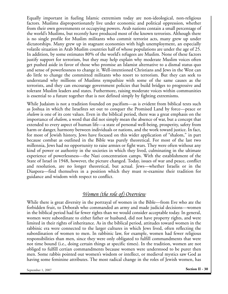Equally important in fueling Islamic extremism today are non-ideological, non-religious factors. Muslims disproportionately live under economic and political oppression, whether from their own governments or occupying powers. Arab nations contain a small percentage of the world's Muslims, but recently have produced most of the known terrorists. Although there is no single profile for Muslim militants who commit terrorist acts, many grew up under dictatorships. Many grew up in stagnant economies with high unemployment, an especially volatile situation in Arab Muslim countries half of whose populations are under the age of 25. In addition, by some estimates 80% of the world's refugees are Muslim. None of these factors justify support for terrorism, but they may help explain why moderate Muslim voices often get pushed aside in favor of those who promise an Islamist alternative to a dismal status quo and sense of powerlessness to change it. Well-intentioned Christians and Jews in the West can do little to change the committed militants who resort to terrorism. But they can seek to understand why millions of Muslims sympathize with some of the same causes as the terrorists, and they can encourage government policies that build bridges to progressive and tolerant Muslim leaders and states. Futhermore, raising moderate voices within communities is essential to a future together that is not defined simply by fighting extremisms.

While Judaism is not a tradition founded on pacifism—as is evident from biblical texts such as Joshua in which the Israelites set out to conquer the Promised Land by force—peace or *shalom* is one of its core values. Even in the biblical period, there was a great emphasis on the importance of *shalom*, a word that did not simply mean the absence of war, but a concept that extended to every aspect of human life—a state of personal well-being, prosperity, safety from harm or danger, harmony between individuals or nations, and the work toward justice. In fact, for most of Jewish history, Jews have focused on this wider application of "shalom," in part because combat as outlined in the Bible was purely theoretical. For most of the last two millennia, Jews had no opportunity to raise armies or fight wars. They were often without any kind of power or authority in the societies in which they lived, culminating in the ultimate experience of powerlessness—the Nazi concentration camps. With the establishment of the State of Israel in 1948, however, the picture changed. Today, issues of war and peace, conflict and resolution, are no longer theoretical, but actual. Jews—whether Israelis or in the Diaspora—find themselves in a position which they must re-examine their tradition for guidance and wisdom with respect to conflict.

## *Women (the role of) Overview*

While there is great diversity in the portrayal of women in the Bible—from Eve who ate the forbidden fruit, to Deborah who commanded an army and made judicial decisions—women in the biblical period had far fewer rights than we would consider acceptable today. In general, women were subordinate to either father or husband, did not have property rights, and were limited in their rights of inheritance. As in the biblical period, attitudes toward women in the rabbinic era were connected to the larger cultures in which Jews lived, often reflecting the subordination of women to men. In rabbinic law, for example, women had fewer religious responsibilities than men, since they were only obligated to fulfill commandments that were not time bound (i.e., doing certain things at specific times). In the tradition, women are not obliged to fulfill certian commandments because women were understood to be purer then men. Some rabbis pointed out women's wisdom or intellect, or medieval mystics saw God as having some feminine attributes. The most radical change in the roles of Jewish women, has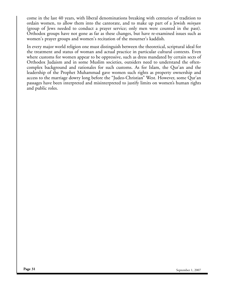come in the last 40 years, with liberal denominations breaking with centuries of tradition to ordain women, to allow them into the cantorate, and to make up part of a Jewish *minyan* (group of Jews needed to conduct a prayer service; only men were counted in the past). Orthodox groups have not gone as far as these changes, but have re-examined issues such as women's prayer groups and women's recitation of the mourner's kaddish.

In every major world religion one must distinguish between the theoretical, scriptural ideal for the treatment and status of woman and actual practice in particular cultural contexts. Even where customs for women appear to be oppressive, such as dress mandated by certain sects of Orthodox Judaism and in some Muslim societies, outsiders need to understand the oftencomplex background and rationales for such customs. As for Islam, the Qur'an and the leadership of the Prophet Muhammad gave women such rights as property ownership and access to the marriage dowry long before the "Judeo-Christian" West. However, some Qur'an passages have been interpreted and misinterpreted to justify limits on women's human rights and public roles.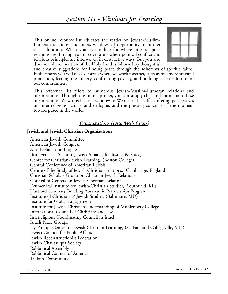This online resource list educates the reader on Jewish-Muslim-Lutheran relations, and offers windows of opportunity to further that education. When you seek online for where inter-religious relations are thriving, you discover areas where political conflict and religious principles are interwoven in destructive ways. But you also discover where mention of the Holy Land is followed by thoughtful



and creative suggestions for finding peace through the adherents of specific faiths. Futhermore, you will discover areas where we work together, such as on environmental protection, feeding the hungry, confronting poverty, and building a better future for out communities.

This reference list refers to numerous Jewish-Muslim-Lutheran relations and organizations. Through this online primer, you can simply click and learn about these organizations. View this list as a window to Web sites that offer differing perspectives on inter-religious activity and dialogue, and the pressing concerns of the moment toward peace in the world.

#### *Organizations (with Web Links)*

#### **Jewish and Jewish-Christian Organizations**

American Jewish Committee American Jewish Congress Anti-Defamation League Brit Tzedek U'Shalum (Jewish Alliance for Justice & Peace) Center for Christian-Jewish Learning, (Boston College) Central Conference of American Rabbis Centre of the Study of Jewish-Christian relations, (Cambridge, England) Christian Scholars Group on Christian-Jewish Relations Council of Centers on Jewish-Christian Relations Ecumenical Institute for Jewish-Christian Studies, (Southfield, MI) Hartford Seminary Building Abrahamic Partnerships Program Institute of Christian & Jewish Studies, (Baltimore, MD) Institute for Global Engagement Institute for Jewish-Christian Understanding of Muhlenberg College International Council of Christians and Jews Interreligious Coordinating Council in Israel Israeli Peace Groups Jay Phillips Center for Jewish-Christian Learning, (St. Paul and Collegeville, MN) Jewish Council for Public Affairs Jewish Reconstructionist Federation Jewish Chautauqua Society Rabbinical Assembly Rabbinical Council of America Tikkun Community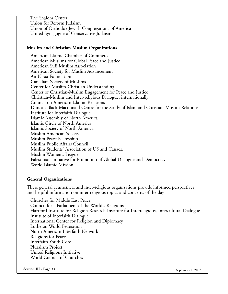The Shalom Center Union for Reform Judaism Union of Orthodox Jewish Congregations of America United Synagogue of Conservative Judaism

#### **Muslim and Christian-Muslim Organizations**

American Islamic Chamber of Commerce American Muslims for Global Peace and Justice American Sufi Muslim Association American Society for Muslim Advancement An-Nisaa Foundation Canadian Society of Muslims Center for Muslim-Christian Understanding Center of Christian-Muslim Engagement for Peace and Justice Christian-Muslim and Inter-religious Dialogue, internationally Council on American-Islamic Relations Duncan Black Macdonald Centre for the Study of Islam and Christian-Muslim Relations Institute for Interfaith Dialogue Islamic Assembly of North America Islamic Circle of North America Islamic Society of North America Muslim American Society Muslim Peace Fellowship Muslim Public Affairs Council Muslim Students' Association of US and Canada Muslim Women's League Palestinian Initiative for Promotion of Global Dialogue and Democracy World Islamic Mission

#### **General Organizations**

These general ecumenical and inter-religious organizations provide informed perspectives and helpful information on inter-religious topics and concerns of the day

Churches for Middle East Peace Council for a Parliament of the World's Religions Hartford Institute for Religion Research Institute for Interreligious, Intercultural Dialogue Institute of Interfaith Dialogue International Center for Religion and Diplomacy Lutheran World Federation North American Interfaith Network Religions for Peace Interfaith Youth Core Pluralism Project United Religions Initiative World Council of Churches

September 1, 2007<br>
September 1, 2007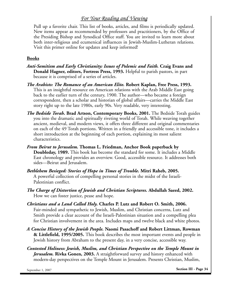## *For Your Reading and Viewing*

Pull up a favorite chair. This list of books, articles, and films is periodically updated. New items appear as recommended by professors and practitioners, by the Office of the Presiding Bishop and Synodical Office staff. You are invited to learn more about both inter-religious and ecumenical influences in Jewish-Muslim-Lutheran relations. Visit this primer online for updates and keep informed!

#### **Books**

- *Anti-Semitism and Early Christianity: Issues of Polemic and Faith.* **Craig Evans and Donald Hagner, editors, Fortress Press, 1993.** Helpful to parish pastors, in part because it is comprised of a series of articles.
- *The Arabists: The Romance of an American Elite.* **Robert Kaplan, Free Press, 1993.**  This is an insightful resource on American relations with the Arab Middle East going back to the earlier turn of the century, 1900. The author—who became a foreign correspondent, then a scholar and historian of global affairs—carries the Middle East story right up to the late 1980s, early 90s. Very readable, very interesting.
- *The Bedside Torah***. Brad Artson, Contemporary Books, 2001.** The Bedside Torah guides you into the dramatic and spiritually riveting world of Torah. While weaving together ancient, medieval, and modern views, it offers three different and original commentaries on each of the 49 Torah portions. Written in a friendly and accessible tone, it includes a short introduction at the beginning of each portion, explaining its most salient characteristics.
- *From Beirut to Jerusalem.* **Thomas L. Friedman, Anchor Book paperback by Doubleday, 1989.** This book has become the standard for some. It includes a Middle East chronology and provides an overview. Good, accessible resource. It addresses both sides—Beirut and Jerusalem.
- *Bethlehem Besieged: Stories of Hope in Times of Trouble.* **Mitri Raheb, 2005.**  A powerful collection of compelling personal stories in the midst of the Israeli-Palestinian conflict.
- *The Charge of Distortion of Jewish and Christian Scriptures.* **Abdullah Saeed, 2002.** How we can foster justice, pease and hope.
- *Christians and a Land Called Holy.* **Charles P. Lutz and Robert O. Smith, 2006.** Fair-minded and sympathetic to Jewish, Muslim, and Christian concerns, Lutz and Smith provide a clear account of the Israeli-Palestinian situation and a compelling plea for Christian involvement in the area. Includes maps and twelve black and white photos.
- *A Concise History of the Jewish People.* **Naomi Pasachoff and Robert Littman, Rowman & Littlefield, 1995/2005.** This book describes the most important events and people in Jewish history from Abraham to the present day, in a very concise, accessible way.
- *Contested Holiness: Jewish, Muslim, and Christian Perspective on the Temple Mount in Jerusalem.* **Rivka Gonen, 2003.** A straightforward survey and history enhanced with modern-day perspectives on the Temple Mount in Jerusalem. Presents Christian, Muslim,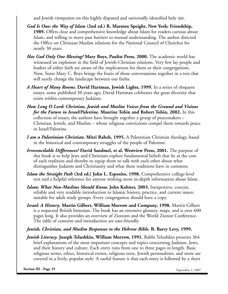and Jewish viewpoints on this highly disputed and universally identified holy site.

- *God Is One: the Way of Islam* **(2nd ed.) R. Marston Speight, New York: Friendship, 1989.** Offers clear and comprehensive knowledge about Islam for readers curious about Islam, and willing to move past barriers to mutual understanding. The author directed the Office on Christian-Muslim relations for the National Council of Churches for nearly 30 years.
- *Has God Only One Blessing?* **Mary Boys, Paulist Press, 2000.** The academic world has witnessed an explosion in the field of Jewish-Christian relations. Very few lay people and leaders of either faith are aware of the implications for them or their congregations. Now, Sister Mary C. Boys brings the fruits of those conversations together in a text that will surely change the landscape between our faiths.
- *A Heart of Many Rooms.* **David Hartman, Jewish Lights, 1999.** In a series of eloquent essays, some published 30 years ago, David Hartman celebrates the great diversity that exists within contemporary Judaism.
- *How Long O Lord: Christian, Jewish and Muslim Voices from the Ground and Visions for the Future in Israel/Palestine.* **Maurine Tobin and Robert Tobin, 2002.** In this collection of essays, the authors have brought together a group of peacemakers – Christian, Jewish, and Muslim – whose religious convictions compel them towards peace in Israel/Palestine.
- *I am a Palestinian Christian.* **Mitri Raheb, 1995.** A Palestinian Christian theology, based in the historical and contemporary struggles of the people of Palestine.
- *Irreconcilable Differences?* **David Sandmel, et al. Westview Press, 2001.** The purpose of this book is to help Jews and Christians explore fundamental beliefs that lie at the core of each tradition and thereby to equip them to talk with each other about what distinguishes Judaism and Christianity and what these traditions have in common.
- *Islam the Straight Path* **(3rd ed.) John L. Esposito, 1998.** Comprehensive college-level text and a helpful reference for anyone wishing more in-depth information about Islam.
- *Islam: What Non-Muslims Should Know.* **John Kaltner, 2003.** Inexpensive, concise, reliable and very readable introduction to Islamic history, practice, and current issues; suitable for adult study groups. Every congregation should have a copy.
- *Israel: A History.* **Martin Gilbert, William Morrow and Company, 1998.** Martin Gilbert is a respected British historian. The book has an extensive glossary, maps, and is over 600 pages long. It also provides an overview of Zionism and the World Zionist Conference. The table of contents and introduction are user-friendly.
- *Jewish, Christian, and Muslim Responses to the Hebrew Bible.* **B. Barry Levy, 1999.**
- *Jewish Literacy.* **Joseph Telushkin, William Morrow, 1991.** Rabbi Telushkin presents 364 brief explanations of the most important concepts and topics concerning Judaism, Jews, and their history and culture. Each entry runs from one to three pages in length. Basic religious terms, ethics, historical events, religious texts, Jewish personalities, and more are covered in a lively, popular style. A useful feature is that each entry is followed by a short

Section III - Page 35 September 1, 2007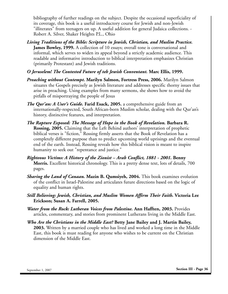bibliography of further readings on the subject. Despite the occasional superficiality of its coverage, this book is a useful introductory course for Jewish and non-Jewish "illiterates" from teenagers on up. A useful addition for general Judaica collections. - Robert A. Silver, Shaker Heights P.L., Ohio

- *Living Traditions of the Bible: Scripture in Jewish, Christian, and Muslim Practice.* **James Bowley, 1999.** A collection of 10 essays; overall tone is conversational and informal, which serves to widen its appeal beyond a strictly academic audience. This readable and informative introduction to biblical interpretation emphasizes Christian (primarily Protestant) and Jewish traditions.
- *O Jeruselem! The Contested Future of teh Jewish Conventant.* **Marc Ellis, 1999.**
- *Preaching without Contempt.* **Marilyn Salmon, Fortress Press, 2006.** Marilyn Salmon situates the Gospels precisely as Jewish literature and addresses specific thorny issues that arise in preaching. Using examples from many sermons, she shows how to avoid the pitfalls of misportraying the people of Jesus
- *The Qur'an: A User's Guide.* **Farid Esack, 2005.** a comprehensive guide from an internationally-respected, South African-born Muslim scholar, dealing with the Qur'an's history, distinctive features, and interpretation.
- *The Rapture Exposed: The Message of Hope in the Book of Revelation.* **Barbara R. Rossing, 2005.** Claiming that the Left Behind authors' interpretation of prophetic biblical verses is "fiction," Rossing firmly asserts that the Book of Revelation has a completely different purpose than to predict upcoming world uprisings and the eventual end of the earth. Instead, Rossing reveals how this biblical vision is meant to inspire humanity to seek out "repentance and justice."
- *Righteous Victims: A History of the Zionist Arab Conflict, 1881 2001.* **Benny Morris.** Excellent historical chronology. This is a pretty dense text, lots of details, 700 pages.
- *Sharing the Land of Canaan.* **Mazin B. Qumsiyeh, 2004.** This book examines evolution of the conflict in Israel-Palestine and articulates future directions based on the logic of equality and human rights.
- *Still Believing: Jewish, Christian, and Muslim Women Affirm Their Faith.* **Victoria Lee Erickson; Susan A. Farrell, 2005.**
- *Water from the Rock: Lutheran Voices from Palestine.* **Ann Hafften, 2003.** Provides articles, commentary, and stories from prominent Lutherans living in the Middle East.
- *Who Are the Christians in the Middle East?* **Betty Jane Bailey and J. Martin Bailey, 2003.** Written by a married couple who has lived and worked a long time in the Middle East, this book is must reading for anyone who wishes to be current on the Christian dimension of the Middle East.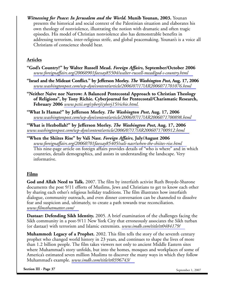*Witnessing for Peace: In Jerusalem and the World.* **Munib Younan, 2003.** Younan presents the historical and social context of the Palestinian situation and elaborates his own theology of nonviolence, illustrating the notion with dramatic and often tragic episodes. His model of Christian nonviolence also has demonstrable benefits in addressing terrorism, inter-religious strife, and global peacemaking. Younan's is a voice all Christians of conscience should hear.

## **Articles**

- **"God's Country?" by Walter Russell Mead.** *Foreign Affairs***, September/October 2006** *[www.foreignaffairs.org/20060901faessay85504/walter-russell-mead/god-s-country.html](http://www.foreignaffairs.org/20060901faessay85504/walter-russell-mead/god-s-country.html)*
- **"Israel and the Mideast Conflict." by Jefferson Morley.** *The Washington Post***, Aug. 17, 2006** *[www.washingtonpost.com/wp-dyn/content/article/2006/07/17/AR2006071701076.html](http://www.washingtonpost.com/wp-dyn/content/article/2006/07/17/AR2006071701076.html)*
- **"Neither Naïve nor Narrow: A Balanced Pentecostal Approach to Christian Theology of Religions", by Tony Richie. Cyberjournal for Pentecostal/Charismatic Research, February 2006** *[www.pctii.org/cyberj/cyberj15/richie.html.](http://www.pctii.org/cyberj/cyberj15/richie.html)*
- **"What Is Hamas?" by Jefferson Morley.** *The Washington Post***, Aug. 17, 2006**  *[www.washingtonpost.com/wp-dyn/content/article/2006/07/17/AR2006071700898.html](http://www.washingtonpost.com/wp-dyn/content/article/2006/07/17/AR2006071700898.html)*
- **"What is Hezbollah?" by Jefferson Morley.** *The Washington Post***, Aug. 17, 2006**  *[www.washingtonpost.com/wp-dyn/content/article/2006/07/17/AR2006071700912.html](http://www.washingtonpost.com/wp-dyn/content/article/2006/07/17/AR2006071700912.html)*
- **"When the Shiites Rise" by Vali Nasr.** *Foreign Affairs***, July/August 2006** *[www.foreignaffairs.org/20060701faessay85405/vali-nasr/when-the-shiites-rise.html](http://www.foreignaffairs.org/20060701faessay85405/vali-nasr/when-the-shiites-rise.html)* This nine-page article on foreign affairs provides details of "who is where" and in which countries, details demographics, and assists in understanding the landscape. Very informative.

## **Films**

**God and Allah Need to Talk.** 2007. The film by interfaith activist Ruth Broyde-Sharone documents the post 9/11 efforts of Muslims, Jews and Christians to get to know each other by sharing each other's religious holiday traditions. The film illustrates how interfaith dialogue, community outreach, and even dinner conversation can be channeled to dissolve fear and suspicion and, ultimately, to create a path towards true reconciliation. *[www.filmsthatmatter.com/](http://www.filmsthatmatter.com/)*

**Dastaar: Defending Sikh Identity.** 2005. A brief examination of the challenges facing the Sikh community in a post-9/11 New York City that erroneously associates the Sikh turban (or dastaar) with terrorism and Islamic extremists. *[www.imdb.com/title/tt0484179/](http://www.imdb.com/title/tt0484179/)*

**Muhammed: Legacy of a Prophet.** 2002. This film tells the story of the seventh century prophet who changed world history in 23 years, and continues to shape the lives of more than 1.2 billion people. The film takes viewers not only to ancient Middle Eastern sites where Muhammad's story unfolds, but into the homes, mosques and workplaces of some of America's estimated seven million Muslims to discover the many ways in which they follow Muhammad's example. *[www.imdb.com/title/tt0396743/](http://www.imdb.com/title/tt0396743/)*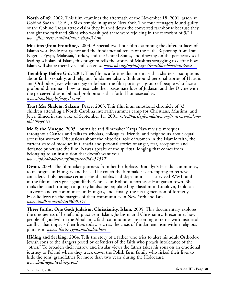**North of 49.** 2002. This film examines the aftermath of the November 18, 2001, arson at Gobind Sadan U.S.A., a Sikh temple in upstate New York. The four teenagers found guilty of the Gobind Sadan attack claim they burned down the converted farmhouse because they thought the turbaned Sikhs who worshiped there were rejoicing in the terrorism of 9/11. *[www.filmakers.com/indivs/northof49.htm](http://www.filmakers.com/indivs/northof49.htm)*

**Muslims (from Frontline).** 2003. A special two-hour film examining the different faces of Islam's worldwide resurgence and the fundamental tenets of the faith. Reporting from Iran, Nigeria, Egypt, Malaysia, Turkey, and the United States, and drawing on the perspectives of leading scholars of Islam, this program tells the stories of Muslims struggling to define how Islam will shape their lives and societies. *[www.pbs.org/wgbh/pages/frontline/shows/muslims](http://www.pbs.org/wgbh/pages/frontline/shows/muslims/)*/

**Trembling Before G-d.** 2001. This film is a feature documentary that shatters assumptions about faith, sexuality, and religious fundamentalism. Built around personal stories of Hasidic and Orthodox Jews who are gay or lesbian, the film portrays a group of people who face a profound dilemma—how to reconcile their passionate love of Judaism and the Divine with the perceived drastic biblical prohibitions that forbid homosexuality. *[www.tremblingbeforeg-d.com/](http://www.tremblingbeforeg-d.com/)*

**Trust Me: Shalom, Salaam, Peace.** 2003. This film is an emotional chronicle of 33 children attending a North Carolina interfaith summer camp for Christians, Muslims, and [Jews, filmed in the wake of September 11, 2001.](http://hartleyfoundation.org/trust-me-shalom-salaam-peace) *http://hartleyfoundation.org/trust-me-shalomsalaam-peace*

**Me & the Mosque.** 2005. Journalist and filmmaker Zarqa Nawaz visits mosques throughout Canada and talks to scholars, colleagues, friends, and neighbours about equal access for women. Discussions about the historical role of women in the Islamic faith, the current state of mosques in Canada and personal stories of anger, fear, acceptance and defiance punctuate the film. Nawaz speaks of the spiritual longing that comes from belonging to an institution that doesn't want you. *[www.nfb.ca/collection/films/fiche/?id=51517](http://www.nfb.ca/collection/films/fiche/?id=51517)*

**Divan.** 2003. The filmmaker journeys from her birthplace, Brooklyn's Hasidic community, to its origins in Hungary and back. The couch the filmmaker is attempting to retrieve considered holy because certain Hasidic rabbis had slept on it—has survived WWII and is in the filmmaker's great grandfather's house in Rohod, a northeast Hungarian town. She trails the couch through a quirky landscape populated by Hasidim in Brooklyn, Holocaust survivors and ex-communists in Hungary, and, finally, the next generation of formerly-Hasidic Jews on the margins of their communities in New York and Israel. *[www.imdb.com/title/tt0303917/](http://www.imdb.com/title/tt0303917/)*

**Three Faiths, One God: Judaism, Christianity, Islam.** 2005. This documentary explores the uniqueness of belief and practice in Islam, Judaism, and Christianity. It examines how people of goodwill in the Abrahamic faith communities are coming to terms with historical conflict that impacts their lives today, such as the crisis of fundamentalism within religious pluralism. *[www.3faiths1god.com/index.htm](http://www.3faiths1god.com/index.htm)*

**Hiding and Seeking.** 2004. Tells the story of a father who tries to alert his adult Orthodox Jewish sons to the dangers posed by defenders of the faith who preach intolerance of the "other." To broaden their narrow and insular views the father takes his sons on an emotional journey to Poland where they track down the Polish farm family who risked their lives to hide the sons' grandfather for more than two years during the Holocaust. *[www.hidingandseeking.com/](http://www.hidingandseeking.com/)*

**Section III - Page 38** September 1, 2007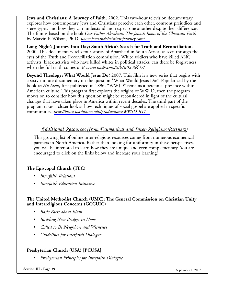**Jews and Christians: A Journey of Faith.** 2002. This two-hour television documentary explores how contemporary Jews and Christians perceive each other, confront prejudices and stereotypes, and how they can understand and respect one another despite their differences. The film is based on the book *Our Father Abraham: The Jewish Roots of the Christian Faith* by Marvin R Wilson, Ph.D. *[www.jewsandchristiansjourney.com/](http://www.jewsandchristiansjourney.com/)*

**Long Night's Journey Into Day: South Africa's Search for Truth and Reconciliation.** 2000. This documentary tells four stories of Apartheid in South Africa, as seen through the eyes of the Truth and Reconciliation commission. White soldiers who have killed ANC activists, black activists who have killed whites in political attacks: can there be forgiveness when the full truth comes out? *[www.imdb.com/title/tt0236447/](http://www.imdb.com/title/tt0236447/)*

**Beyond Theology: What Would Jesus Do?** 2007. This film is a new series that begins with a sixty-minute documentary on the question "What Would Jesus Do?" Popularized by the book *In His Steps*, first published in 1896, "WWJD" remains a perennial presence within American culture. This program first explores the origins of WWJD, then the program moves on to consider how this question might be reconsidered in light of the cultural changes that have taken place in America within recent decades. The third part of the program takes a closer look at how techniques of social gospel are applied in specific communities. *<http://ktwu.washburn.edu/productions/WWJD-BT/>*

# *Additional Resources (from Ecumenical and Inter-Religious Partners)*

This growing list of online inter-religious resources comes from numerous ecumenical partners in North America. Rather than looking for uniformity in these perspectives, you will be interested to learn how they are unique and even complementary. You are encouraged to click on the links below and increase your learning!

## **The Episcopal Church (TEC)**

- *Interfaith Relations*
- *Interfaith Education Initiative*

#### **The United Methodist Church (UMC): The General Commission on Christian Unity and Interreligious Concerns (GCCUIC)**

- *Basic Facts about Islam*
- *Building New Bridges in Hope*
- *Called to Be Neighbors and Witnesses*
- *Guidelines for Interfaith Dialogue*

#### **Presbyterian Church (USA) [PCUSA]**

• *Presbyterian Principles for Interfaith Dialogue*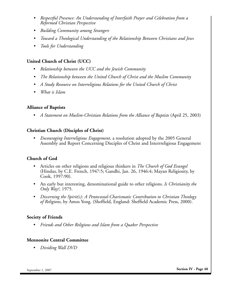- *Respectful Presence: An Understanding of Interfaith Prayer and Celebration from a Reformed Christian Perspective*
- *Building Community among Strangers*
- *Toward a Theological Understanding of the Relationship Between Christians and Jews*
- *Tools for Understanding*

### **United Church of Christ (UCC)**

- *Relationship between the UCC and the Jewish Community*
- *The Relationship between the United Church of Christ and the Muslim Community*
- *A Study Resource on Interreligious Relations for the United Church of Christ*
- *What is Islam*

### **Alliance of Baptists**

• *A Statement on Muslim-Christian Relations from the Alliance of Baptists* (April 25, 2003)

### **Christian Church (Disciples of Christ)**

• *Encouraging Interreligious Engagement*, a resolution adopted by the 2005 General Assembly and Report Concerning Disciples of Christ and Interrreligious Engagement

#### **Church of God**

- Articles on other religions and religious thinkers in *The Church of God Evangel* (Hindus, by C.E. French, 1947:5; Gandhi, Jan. 26, 1946:4; Mayan Religiosity, by Cook, 1997:90).
- An early but interesting, denominational guide to other religions. *Is Christianity the Only Way?*, 1975.
- *Discerning the Spirit(s): A Pentecostal-Charismatic Contribution to Christian Theology of Religions*, by Amos Yong. (Sheffield, England: Sheffield Academic Press, 2000).

#### **Society of Friends**

• *Friends and Other Religions and Islam from a Quaker Perspective*

#### **Mennonite Central Committee**

• *Dividing Wall DVD*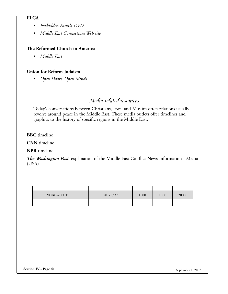#### **ELCA**

- *Forbidden Family DVD*
- *Middle East Connections Web site*

### **The Reformed Church in America**

*• Middle East*

### **Union for Reform Judaism**

*• Open Doors, Open Minds*

# *Media-related resources*

Today's conversations between Christians, Jews, and Muslim often relations usually revolve around peace in the Middle East. These media outlets offer timelines and graphics to the history of specific regions in the Middle East.

**BBC** timeline

**CNN** timeline

**NPR** timeline

*The Washington Post*, explanation of the Middle East Conflict News Information - Media (USA)

| 200BC-700CE | 701-1799 | 1800 | 1900 | 2000 |
|-------------|----------|------|------|------|
|             |          |      |      |      |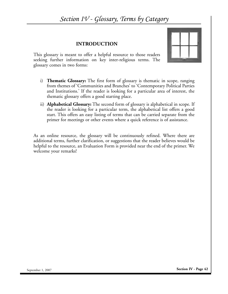## **INTRODUCTION**

This glossary is meant to offer a helpful resource to those readers seeking further information on key inter-religious terms. The glossary comes in two forms:

- i) **Thematic Glossary:** The first form of glossary is thematic in scope, ranging from themes of 'Communities and Branches' to 'Contemporary Political Parties and Institutions.' If the reader is looking for a particular area of interest, the thematic glossary offers a good starting place.
- ii) **Alphabetical Glossary:** The second form of glossary is alphabetical in scope. If the reader is looking for a particular term, the alphabetical list offers a good start. This offers an easy listing of terms that can be carried separate from the primer for meetings or other events where a quick reference is of assistance.

As an online resource, the glossary will be continuously refined. Where there are additional terms, further clarification, or suggestions that the reader believes would be helpful to the resource, an Evaluation Form is provided near the end of the primer. We welcome your remarks!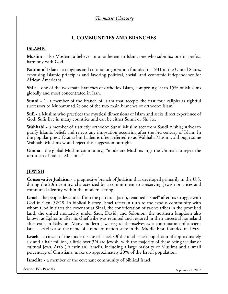# *Thematic Glossary*

## **I. COMMUNITIES AND BRANCHES**

#### **ISLAMIC**

**Muslim -** also Moslem; a believer in or adherent to Islam; one who submits; one in perfect harmony with God.

**Nation of Islam -** a religious and cultural organization founded in 1931 in the United States, espousing Islamic principles and favoring political, social, and economic independence for African Americans.

**Shi'a** - one of the two main branches of orthodox Islam, comprising 10 to 15% of Muslims globally and most concentrated in Iran.

**Sunni - 1:** a member of the branch of Islam that accepts the first four caliphs as rightful successors to Muhammad **2:** one of the two main branches of orthodox Islam.

**Sufi -** a Muslim who practices the mystical dimensions of Islam and seeks direct experience of God. Sufis live in many countries and can be either Sunni or Shi`ite.

**Wahhabi -** a member of a strictly orthodox Sunni Muslim sect from Saudi Arabia; strives to purify Islamic beliefs and rejects any innovation occurring after the 3rd century of Islam. In the popular press, Osama bin Laden is often referred to as Wahhabi Muslim, although some Wahhabi Muslims would reject this suggestion outright.

**Umma -** the global Muslim community,; "moderate Muslims urge the Ummah to reject the terrorism of radical Muslims."

#### **JEWISH**

**Conservative Judaism -** a progressive branch of Judaism that developed primarily in the U.S. during the 20th century, characterized by a commitment to conserving Jewish practices and communal identity within the modern setting.

**Israel -** the people descended from the patriarch Jacob, renamed "Israel" after his struggle with God in Gen. 32:28. In biblical history, Israel refers in turn to the exodus community with whom God initiates the covenant at Sinai, the confederation of twelve tribes in the promised land, the united monarchy under Saul, David, and Solomon, the northern kingdom also known as Ephraim after its chief tribe was reunited and restored in their ancestral homeland after exile in Babylon. Many modern Jews regard themselves as a continuation of ancient Israel. Israel is also the name of a modern nation-state in the Middle East, founded in 1948.

**Israeli -** a citizen of the modern state of Israel. Of the total Israeli population of approximately six and a half million, a little over 3/4 are Jewish, with the majority of these being secular or cultural Jews. Arab (Palestinian) Israelis, including a large majority of Muslims and a small percentage of Christians, make up approximately 20% of the Israeli population.

**Israelite -** a member of the covenant community of biblical Israel.

September 1, 2007<br>
September 1, 2007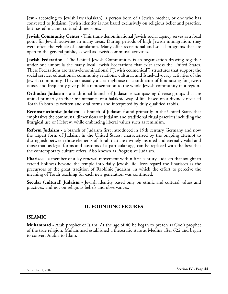**Jew -** according to Jewish law (halakah), a person born of a Jewish mother, or one who has converted to Judaism. Jewish identity is not based exclusively on religious belief and practice, but has ethnic and cultural dimensions.

**Jewish Community Center -** This trans-denominational Jewish social agency serves as a focal point for Jewish activities in many areas. During periods of high Jewish immigration, they were often the vehicle of assimilation. Many offer recreational and social programs that are open to the general public, as well as Jewish communal activities.

**Jewish Federation -** The United Jewish Communities is an organization drawing together under one umbrella the many local Jewish Federations that exist across the United States. These Federations are trans-denominational ("Jewish ecumenical") structures that support the social service, educational, community relations, cultural, and Israel-advocacy activities of the Jewish community. They are usually a clearinghouse or coordinator of fundraising for Jewish causes and frequently give public representation to the whole Jewish community in a region.

**Orthodox Judaism -** a traditional branch of Judaism encompassing diverse groups that are united primarily in their maintenance of a halakhic way of life, based on a divinely revealed Torah in both its written and oral forms and interpreted by duly qualified rabbis.

**Reconstructionist Judaism -** a branch of Judaism found primarily in the United States that emphasizes the communal dimensions of Judaism and traditional ritual practices including the liturgical use of Hebrew, while embracing liberal values such as feminism.

**Reform Judaism -** a branch of Judaism first introduced in 19th century Germany and now the largest form of Judaism in the United States, characterized by the ongoing attempt to distinguish between those elements of Torah that are divinely inspired and eternally valid and those that, as legal forms and customs of a particular age, can be replaced with the best that the contemporary culture offers. Also known as Progressive Judaism.

**Pharisee -** a member of a lay renewal movement within first-century Judaism that sought to extend holiness beyond the temple into daily Jewish life. Jews regard the Pharisees as the precursors of the great tradition of Rabbinic Judaism, in which the effort to perceive the meaning of Torah teaching for each new generation was continued.

**Secular (cultural) Judaism -** Jewish identity based only on ethnic and cultural values and practices, and not on religious beliefs and observances.

# **II. FOUNDING FIGURES**

## **ISLAMIC**

**Muhammad -** Arab prophet of Islam. At the age of 40 he began to preach as God's prophet of the true religion. Muhammad established a theocratic state at Medina after 622 and began to convert Arabia to Islam.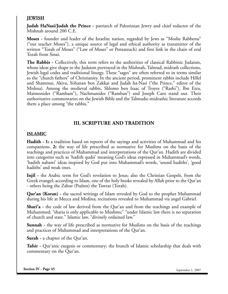#### **JEWISH**

**Judah HaNasi/Judah the Prince -** patriarch of Palestinian Jewry and chief redactor of the Mishnah around 200 C.E.

**Moses -** founder and leader of the Israelite nation, regarded by Jews as "Moshe Rabbenu" ("our teacher Moses"), a unique source of legal and ethical authority as transmitter of the written "Torah of Moses" ("Law of Moses" or Pentateuch) and first link in the chain of oral Torah from Sinai.

**The Rabbis -** Collectively, this term refers to the authorities of classical Rabbinic Judaism, whose ideas give shape to the Judaism portrayed in the Mishnah, Talmud, midrash collections, Jewish legal codes and traditional liturgy. These "sages" are often referred to in terms similar to the "church fathers" of Christianity. In the ancient period, prominent rabbis include Hillel and Shammai, Akiva, Yohanan ben Zakkai and Judah ha-Nasi ("the Prince," editor of the Mishna). Among the medieval rabbis, Shlomo ben Isaac of Troyes ("Rashi"), Ibn Ezra, Maimonides ("Rambam"), Nachmanides ("Ramban") and Joseph Caro stand out. Their authoritative commentaries on the Jewish Bible and the Talmudic-midrashic literature accords them a place among "the rabbis."

## **III. SCRIPTURE AND TRADITION**

#### **ISLAMIC**

**Hadith - 1:** a tradition based on reports of the sayings and activities of Muhammad and his companions. **2:** the way of life prescribed as normative for Muslims on the basis of the teachings and practices of Muhammad and interpretations of the Qur'an. Hadith are divided into categories such as 'hadith qudsi' meaning God's ideas expressed in Muhammad's words, 'hadith nabawi' ideas inspired by God put into Muhammad's words, 'sound hadiths', 'good hadiths' and weak ones.

**Injil -** the Arabic term for God's revelation to Jesus; also the Christian Gospels, from the Greek evangel; according to Islam, one of the holy books revealed by Allah prior to the Qur'an - others being the Zabur (Psalms) the Tawrat (Torah).

**Qur'an (Koran) -** the sacred writings of Islam revealed by God to the prophet Muhammad during his life at Mecca and Medina; recitations revealed to Muhammad via angel Gabriel.

**Shari'a -** the code of law derived from the Qur'an and from the teachings and example of Muhammed; "sharia is only applicable to Muslims;" "under Islamic law there is no separation of church and state." Islamic law, "divinely ordained law."

**Sunnah -** the way of life prescribed as normative for Muslims on the basis of the teachings and practices of Muhammad and interpretations of the Qur'an.

**Surah -** a chapter of the Qur'an.

**Tafsir -** Qur'anic exegesis or commentary; the branch of Islamic scholarship that deals with commentary on the Qur'an.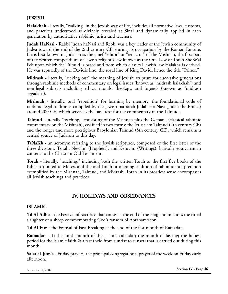## **JEWISH**

**Halakhah -** literally, "walking" in the Jewish way of life, includes all normative laws, customs, and practices understood as divinely revealed at Sinai and dynamically applied in each generation by authoritative rabbinic jurists and teachers.

**Judah HaNasi -** Rabbi Judah haNasi and Rebbi was a key leader of the Jewish community of Judea toward the end of the 2nd century CE, during its occupation by the Roman Empire. He is best known in Judaism as the chief "editor" or "redactor" of the Mishnah, the first part of the written compendium of Jewish religious law known as the Oral Law or Torah SheBe'al Peh upon which the Talmud is based and from which classical Jewish law Halakha is derived. He was reputedly of the Davidic line, the royal line of King David, hence the title "Prince."

**Midrash -** literally, "seeking out" the meaning of Jewish scripture for successive generations through rabbinic methods of commentary on legal issues (known as "midrash halakhah") and non-legal subjects including ethics, morals, theology, and legends (known as "midrash aggadah").

**Mishnah -** literally, oral "repetition" for learning by memory, the foundational code of rabbinic legal traditions compiled by the Jewish patriarch Judah Ha-Nasi (Judah the Prince) around 200 CE, which serves as the base text for the commentary in the Talmud.

**Talmud -** literally "teaching," consisting of the Mishnah plus the Gemara, (classical rabbinic commentary on the Mishnah), codified in two forms: the Jerusalem Talmud (4th century CE) and the longer and more prestigious Babylonian Talmud (5th century CE), which remains a central source of Judaism to this day.

**TaNaKh -** an acronym referring to the Jewish scriptures, composed of the first letter of the three divisions:  $T$ orah,  $N$ evi'im (Prophets), and  $K$ etuvim (Writings), basically equivalent in content to the Christian Old Testament.

**Torah -** literally, "teaching," including both the written Torah or the first five books of the Bible attributed to Moses, and the oral Torah or ongoing tradition of rabbinic interpretation exemplified by the Mishnah, Talmud, and Midrash. Torah in its broadest sense encompasses all Jewish teachings and practices.

## **IV. HOLIDAYS AND OBSERVANCES**

## **ISLAMIC**

**'Id Al-Adha -** the Festival of Sacrifice that comes at the end of the Hajj and includes the ritual slaughter of a sheep commemorating God's ransom of Abraham's son.

**'Id Al-Fitr -** the Festival of Fast-Breaking at the end of the fast month of Ramadan.

**Ramadan - 1:** the ninth month of the Islamic calendar; the month of fasting; the holiest period for the Islamic faith **2:** a fast (held from sunrise to sunset) that is carried out during this month.

**Salat al-Jum'a -** Friday prayers, the principal congregational prayer of the week on Friday early afternoon.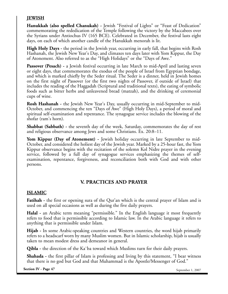### **JEWISH**

**Hanukkah (also spelled Chanukah) -** Jewish "Festival of Lights" or "Feast of Dedication" commemorating the rededication of the Temple following the victory by the Maccabees over the Syrians under Antiochus IV (165 BCE). Celebrated in December, the festival lasts eight days, on each of which another candle of the Hanukkah menorah is lit.

**High Holy Days -** the period in the Jewish year, occurring in early fall, that begins with Rosh Hashanah, the Jewish New Year's Day, and climaxes ten days later with Yom Kippur, the Day of Atonement. Also referred to as the "High Holidays" or the "Days of Awe."

**Passover (Pesach) -** a Jewish festival occurring in late March to mid-April and lasting seven or eight days, that commemorates the exodus of the people of Israel from Egyptian bondage, and which is marked chiefly by the Seder ritual. The Seder is a dinner, held in Jewish homes on the first night of Passover (or the first two nights of Passover, if outside of Israel) that includes the reading of the Haggadah (Scriptural and traditional texts), the eating of symbolic foods such as bitter herbs and unleavened bread (matzah), and the drinking of ceremonial cups of wine.

**Rosh Hashanah -** the Jewish New Year's Day, usually occurring in mid-September to mid-October, and commencing the ten "Days of Awe" (High Holy Days), a period of moral and spiritual self-examination and repentance. The synagogue service includes the blowing of the shofar (ram's horn).

**Shabbat (Sabbath) -** the seventh day of the week, Saturday, commemorates the day of rest and religious observance among Jews and some Christians. Ex. 20:8–11.

**Yom Kippur (Day of Atonement) -** Jewish holiday occurring in late September to mid-October, and considered the holiest day of the Jewish year. Marked by a 25-hour fast, the Yom Kippur observance begins with the recitation of the solemn Kol Nidre prayer in the evening service, followed by a full day of synagogue services emphasizing the themes of selfexamination, repentance, forgiveness, and reconciliation both with God and with other persons.

## **V. PRACTICES AND PRAYER**

#### **ISLAMIC**

**Fatihah -** the first or opening sura of the Qur'an which is the central prayer of Islam and is used on all special occasions as well as during the five daily prayers.

**Halal -** an Arabic term meaning "permissible." In the English language it most frequently refers to food that is permissible according to Islamic law. In the Arabic language it refers to anything that is permissible under Islam.

**Hijab -** In some Arabic-speaking countries and Western countries, the word hijab primarily refers to a headscarf worn by many Muslim women. But in Islamic scholarship, hijab is usually taken to mean modest dress and demeanor in general.

**Qibla -** the direction of the Ka`ba toward which Muslims turn for their daily prayers.

**Shahada -** the first pillar of Islam is professing and living by this statement, "I bear witness that there is no god but God and that Muhammad is the Apostle/Messenger of God."

September 1, 2007<br>
September 1, 2007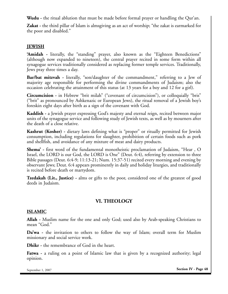**Wudu -** the ritual ablution that must be made before formal prayer or handling the Qur'an.

**Zakat -** the third pillar of Islam is almsgiving as an act of worship; "the zakat is earmarked for the poor and disabled."

## **JEWISH**

**'Amidah -** literally, the "standing" prayer, also known as the "Eighteen Benedictions" (although now expanded to nineteen), the central prayer recited in some form within all synagogue services traditionally considered as replacing former temple services. Traditionally, Jews pray three times a day.

**Bar/bat mitzvah -** literally, "son/daughter of the commandment," referring to a Jew of majority age responsible for performing the divine commandments of Judaism; also the occasion celebrating the attainment of this status (at 13 years for a boy and 12 for a girl).

**Circumcision -** in Hebrew "brit milah" ("covenant of circumcision"), or colloquially "bris" ("brit" as pronounced by Ashkenazic or European Jews), the ritual removal of a Jewish boy's foreskin eight days after birth as a sign of the covenant with God.

**Kaddish -** a Jewish prayer expressing God's majesty and eternal reign, recited between major units of the synagogue service and following study of Jewish texts, as well as by mourners after the death of a close relative.

**Kashrut (Kosher) -** dietary laws defining what is "proper" or ritually permitted for Jewish consumption, including regulations for slaughter, prohibition of certain foods such as pork and shellfish, and avoidance of any mixture of meat and dairy products.

**Shema' -** first word of the fundamental monotheistic proclamation of Judaism, "Hear , O Israel, the LORD is our God, the LORD is One" (Deut. 6:4), referring by extension to three Bible passages (Deut. 6:4-9; 11:13-21; Num. 15:37-51) recited every morning and evening by observant Jews; Deut. 6:4 appears prominently in daily and holiday liturgies, and traditionally is recited before death or martydom.

**Tzedakah (Lit., Justice) -** alms or gifts to the poor, considered one of the greatest of good deeds in Judaism.

## **VI. THEOLOGY**

## **ISLAMIC**

**Allah -** Muslim name for the one and only God; used also by Arab-speaking Christians to mean "God."

**Da'wa -** the invitation to others to follow the way of Islam; overall term for Muslim missionary and social service work.

**Dhikr -** the remembrance of God in the heart.

**Fatwa -** a ruling on a point of Islamic law that is given by a recognized authority; legal opinion.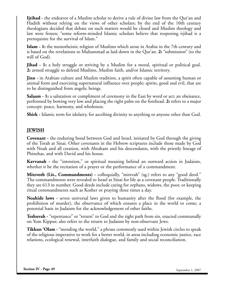**Ijtihad -** the endeavor of a Muslim scholar to derive a rule of divine law from the Qur'an and Hadith without relying on the views of other scholars; by the end of the 10th century theologians decided that debate on such matters would be closed and Muslim theology and law were frozen; "some reform-minded Islamic scholars believe that reopening itjihad is a prerequisite for the survival of Islam."

**Islam - 1:** the monotheistic religion of Muslims which arose in Arabia in the 7th century and is based on the revelations to Muhammad as laid down in the Qur'an. **2:** "submission" (to the will of God).

**Jihad - 1:** a holy struggle or striving by a Muslim for a moral, spiritual or political goal. **2:** armed struggle to defend Muslims, Muslim faith, and/or Islamic territory.

**Jinn -** in Arabian culture and Muslim tradition, a spirit often capable of assuming human or animal form and exercising supernatural influence over people; spirits, good and evil, that are to be distinguished from angelic beings.

**Salaam - 1:** a salutation or compliment of ceremony in the East by word or act; an obeisance, performed by bowing very low and placing the right palm on the forehead. **2:** refers to a major concept: peace, harmony, and wholeness.

**Shirk -** Islamic term for idolatry, for ascribing divinity to anything or anyone other than God.

## **JEWISH**

**Covenant -** the enduring bond between God and Israel, initiated by God through the giving of the Torah at Sinai. Other covenants in the Hebrew scriptures include those made by God with Noah and all creation, with Abraham and his descendants, with the priestly lineage of Phinehas, and with David and his house.

**Kavvanah -** the "intention," or spiritual meaning behind an outward action in Judaism, whether it be the recitation of a prayer or the performance of a commandment.

**Mitzvoth (Lit., Commandments) -** colloquially, "mitzvah" (sg.) refers to any "good deed." The commandments were revealed to Israel at Sinai for life as a covenant people. Traditionally they are 613 in number. Good deeds include caring for orphans, widows, the poor, or keeping ritual commandments such as Kosher or praying three times a day.

**Noahide laws -** seven universal laws given to humanity after the flood (for example, the prohibition of murder), the observance of which ensures a place in the world to come; a potential basis in Judaism for the acknowledgement of other faiths.

**Teshuvah -** "repentance" or "return" to God and the right path from sin, enacted communally on Yom Kippur; also refers to the return to Judaism by non-observant Jews.

**Tikkun 'Olam -** "mending the world," a phrase commonly used within Jewish circles to speak of the religious imperative to work for a better world, in areas including economic justice, race relations, ecological renewal, interfaith dialogue, and family and social reconciliation.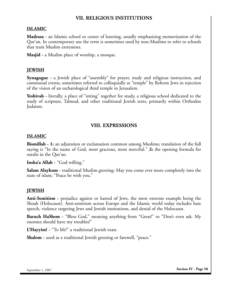## **VII. RELIGIOUS INSTITUTIONS**

#### **ISLAMIC**

**Madrasa -** an Islamic school or center of learning, usually emphasizing memorization of the Qur'an. In contemporary use the term is sometimes used by non-Muslims to refer to schools that train Muslim extremists.

**Masjid -** a Muslim place of worship, a mosque.

#### **JEWISH**

**Synagogue -** a Jewish place of "assembly" for prayer, study and religious instruction, and communal events, sometimes referred to colloquially as "temple" by Reform Jews in rejection of the vision of an eschatological third temple in Jerusalem.

**Yeshivah -** literally, a place of "sitting" together for study, a religious school dedicated to the study of scripture, Talmud, and other traditional Jewish texts, primarily within Orthodox Judaism.

#### **VIII. EXPRESSIONS**

#### **ISLAMIC**

**Bismillah - 1:** an adjuration or exclamation common among Muslims; translation of the full saying is "In the name of God, most gracious, most merciful." **2:** the opening formula for surahs in the Qur'an.

**Insha'a Allah -** "God willing."

**Salam Alaykum -** traditional Muslim greeting: May you come ever more completely into the state of islam; "Peace be with you."

#### **JEWISH**

**Anti-Semitism -** prejudice against or hatred of Jews, the most extreme example being the Shoah (Holocaust). Anti-semitism across Europe and the Islamic world today includes hate speech, violence targeting Jews and Jewish institutions, and denial of the Holocaust.

**Baruch HaShem - "Bless God," meaning anything from "Great!" to "Don't even ask. My** enemies should have my troubles!"

**L'Hayyim! -** "To life!" a traditional Jewish toast.

**Shalom -** used as a traditional Jewish greeting or farewell, "peace."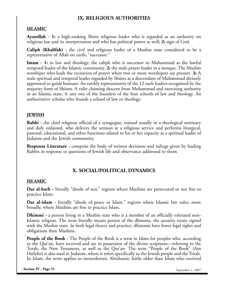## **IX. RELIGIOUS AUTHORITIES**

### **ISLAMIC**

**Ayatollah - 1:** a high-ranking Shiite religious leader who is regarded as an authority on religious law and its interpretation and who has political power as well; **2:** sign of God.

**Caliph (Khalifah) -** the civil and religious leader of a Muslim state considered to be a representative of Allah on earth; "successor."

**Imam - 1:** in law and theology, the caliph who is successor to Muhammad as the lawful temporal leader of the Islamic community. **2:** the male prayer leader in a mosque. The Muslim worshiper who leads the recitation of prayer when two or more worshipers are present. **3:** A male spiritual and temporal leader regarded by Shiites as a descendant of Muhammad divinely appointed to guide humans. An earthly representative of the 12 such leaders recognized by the majority form of Shiism. A ruler claiming descent from Muhammad and exercising authority in an Islamic state. 4: any one of the founders of the four schools of law and theology. An authoritative scholar who founds a school of law or theology.

#### **JEWISH**

**Rabbi -** the chief religious official of a synagogue, trained usually in a theological seminary and duly ordained, who delivers the sermon at a religious service and performs liturgical, pastoral, educational, and other functions related to his or her capacity as a spiritual leader of Judaism and the Jewish community.

**Responsa Literature -** comprise the body of written decisions and rulings given by leading Rabbis in response to questions of Jewish life and observance addressed to them.

## **X. SOCIAL/POLITICAL DYNAMICS**

## **ISLAMIC**

**Dar al-harb** - literally "abode of war," regions where Muslims are persecuted or not free to practice Islam.

**Dar al-islam -** literally "abode of peace or Islam," regions where Islamic law rules; more broadly, where Muslims are free to practice Islam.

**Dhimmi** - a person living in a Muslim state who is a member of an officially tolerated non-Islamic religion. The term literally means person of the dhimma, the security treaty signed with the Muslim state. In both legal theory and practice, dhimmis have fewer legal rights and obligations than Muslims.

**People of the Book -** The People of the Book is a term in Islam for peoples who, according to the Qur'an, have received and are in possession of the divine scriptures—referring to the Torah, the New Testament, as well as the Qur'an. The term "People of the Book" (Am HaSefer) is also used in Judaism, where it refers specifically to the Jewish people and the Torah. In Islam, the term applies to monotheistic Abrahamic faiths older than Islam who received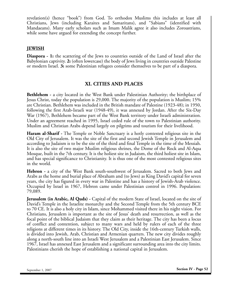revelation(s) (hence "book") from God. To orthodox Muslims this includes at least all Christians, Jews (including Karaites and Samaritans), and "Sabians" (identified with Mandaeans). Many early scholars such as Imam Malik agree it also includes Zoroastrians, while some have argued for extending the concept further.

### **JEWISH**

**Diaspora - 1:** the scattering of the Jews to countries outside of the Land of Israel after the Babylonian captivity. **2:** (often lowercase) the body of Jews living in countries outside Palestine or modern Israel. **3:** some Palestinian refugees consider themselves to be part of a diaspora.

## **XI. CITIES AND PLACES**

**Bethlehem -** a city located in the West Bank under Palestinian Authority; the birthplace of Jesus Christ, today the population is 29,000. The majority of the population is Muslim; 15% are Christian. Bethlehem was included in the British mandate of Palestine (1923-48); in 1950, following the first Arab-Israeli war (1948-49), it was annexed by Jordan. After the Six-Day War (1967), Bethlehem became part of the West Bank territory under Israeli administration. Under an agreement reached in 1995, Israel ceded rule of the town to Palestinian authority. Muslim and Christian Arabs depend largely on pilgrims and tourism for their livelihood.

**Haram al-Sharif -** The Temple or Noble Sanctuary is a hotly contested religious site in the Old City of Jerusalem. It was the site of the first and second Jewish Temple in Jerusalem and according to Judaism is to be the site of the third and final Temple in the time of the Messiah. It is also the site of two major Muslim religious shrines, the Dome of the Rock and Al-Aqsa Mosque, built in the 7th century. It is the holiest site in Judaism, the third holiest site in Islam, and has special significance to Christianity. It is thus one of the most contested religious sites in the world.

**Hebron -** a city of the West Bank south-southwest of Jerusalem. Sacred to both Jews and Arabs as the home and burial place of Abraham and (to Jews) as King David's capital for seven years, the city has figured in every war in Palestine and has a history of Jewish-Arab violence. Occupied by Israel in 1967, Hebron came under Palestinian control in 1996. Population: 79,089.

**Jerusalem (in Arabic, Al Quds) -** Capital of the modern State of Israel, located on the site of David's Temple in the Israelite monarchy and the Second Temple from the 5th century BCE to 70 CE. It is also a holy city in Islam, since Mohammed visited there in his night vision. For Christians, Jerusalem is important as the site of Jesus' death and resurrection, as well as the focal point of the biblical Judaism that they claim as their heritage. The city has been a locus of conflict and contention, subject to many wars and held by rulers of each of the three religions at different times in its history. The Old City, inside the 16th-century Turkish walls, is divided into Jewish, Arab, Christian and Armenian quarters. The new city divides roughly along a north-south line into an Israeli West Jerusalem and a Palestinian East Jerusalem. Since 1967, Israel has annexed East Jerusalem and a significant surrounding area into the city limits. Palestinians cherish the hope of establishing a national capital in Jerusalem.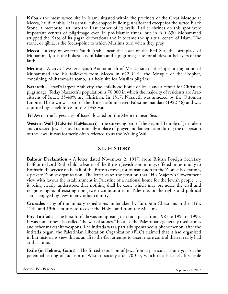**Ka'ba -** the most sacred site in Islam, situated within the precincts of the Great Mosque at Mecca, Saudi Arabia. It is a small cube-shaped building, unadorned except for the sacred Black Stone, a meteorite, set into the East corner of its walls. Earlier shrines on this spot were important centres of pilgrimage even in pre-Islamic times, but in AD 630 Mohammed stripped the Kaba of its pagan decorations and it became the spiritual centre of Islam. The stone, or qibla, is the focus-point to which Muslims turn when they pray.

**Mecca -** a city of western Saudi Arabia near the coast of the Red Sea; the birthplace of Muhammad, it is the holiest city of Islam and a pilgrimage site for all devout believers of the faith.

**Medina -** A city of western Saudi Arabia north of Mecca, site of the hijra or migration of Muhammad and his followers from Mecca in 622 C.E.; the Mosque of the Prophet, containing Muhammad's tomb, is a holy site for Muslim pilgrims.

**Nazareth -** Israel's largest Arab city, the childhood home of Jesus and a center for Christian pilgrimage. Today Nazareth's population is 70,000 in which the majority of residents are Arab citizens of Israel, 35-40% are Christian. In 1517, Nazareth was annexed by the Ottoman Empire. The town was part of the British-administered Palestine mandate (1922-48) and was captured by Israeli forces in the 1948 war.

**Tel Aviv -** the largest city of Israel, located on the Mediterranean Sea.

**Western Wall (HaKotel HaMaaravi) -** the surviving part of the Second Temple of Jerusalem and, a sacred Jewish site. Traditionally a place of prayer and lamentation during the dispersion of the Jews, it was formerly often referred to as the Wailing Wall.

## **XII. HISTORY**

**Balfour Declaration -** A letter dated November 2, 1917, from British Foreign Secretary Balfour to Lord Rothschild, a leader of the British Jewish community, offered in testimony to Rothschild's service on behalf of the British crown, for transmission to the Zionist Federation, a private Zionist organization. The letter states the position that "His Majesty's Government view with favour the establishment in Palestine of a national home for the Jewish people. . ., it being clearly understood that nothing shall be done which may prejudice the civil and religious rights of existing non-Jewish communities in Palestine, or the rights and political status enjoyed by Jews in any other country."

**Crusades -** any of the military expeditions undertaken by European Christians in the 11th, 12th, and 13th centuries to recover the Holy Land from the Muslims.

**First Intifada -** The First Intifada was an uprising that took place from 1987 to 1991 or 1993. It was sometimes also called "the war of stones," because the Palestinians generally used stones and other makeshift weapons. The intifada was a partially spontaneous phenomenon; after the intifada began, the Palestinian Liberation Organization (PLO) claimed that it had organized it, but historians view this as an after-the-fact attempt to assert more control than it really had at that time.

**Exile (in Hebrew, Galut) -** The forced expulsion of Jews from a particular country; also, the perennial setting of Judaism in Western society after 70 CE, which recalls Israel's first exile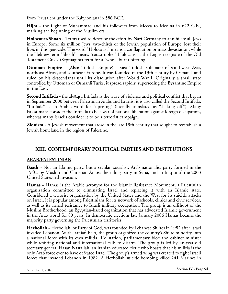from Jerusalem under the Babylonians in 586 BCE.

**Hijra -** the flight of Muhammad and his followers from Mecca to Medina in 622 C.E., marking the beginning of the Muslim era.

**Holocaust/Shoah -** Terms used to describe the effort by Nazi Germany to annihilate all Jews in Europe. Some six million Jews, two-thirds of the Jewish population of Europe, lost their lives in this genocide. The word "Holocaust" means a conflagration or mass devastation, while the Hebrew term "Shoah" means "catastrophe." Holocaust is the English cognate of the Old Testament Greek (Septuagint) term for a "whole burnt offering."

**Ottoman Empire -** (Also: Turkish Empire) a vast Turkish sultanate of southwest Asia, northeast Africa, and southeast Europe. It was founded in the 13th century by Osman I and ruled by his descendants until its dissolution after World War I. Originally a small state controlled by Ottoman or Osmanli Turks, it spread rapidly, superseding the Byzantine Empire in the East.

**Second Intifada -** the al-Aqsa Intifada is the wave of violence and political conflict that began in September 2000 between Palestinian Arabs and Israelis; it is also called the Second Intifada. "Intifada" is an Arabic word for "uprising" (literally translated as "shaking off"). Many Palestinians consider the Intifada to be a war of national liberation against foreign occupation, whereas many Israelis consider it to be a terrorist campaign.

**Zionism -** A Jewish movement that arose in the late 19th century that sought to reestablish a Jewish homeland in the region of Palestine.

# **XIII. CONTEMPORARY POLITICAL PARTIES AND INSTITUTIONS**

## **ARAB/PALESTINIAN**

**Baath -** Not an Islamic party, but a secular, socialist, Arab nationalist party formed in the 1940s by Muslim and Christian Arabs; the ruling party in Syria, and in Iraq until the 2003 United States-led invasion.

**Hamas -** Hamas is the Arabic acronym for the Islamic Resistance Movement, a Palestinian organization committed to eliminating Israel and replacing it with an Islamic state. Considered a terrorist organization by the United States and the West for its suicide attacks on Israel, it is popular among Palestinians for its network of schools, clinics and civic services, as well as its armed resistance to Israeli military occupation. The group is an offshoot of the Muslim Brotherhood, an Egyptian-based organization that has advocated Islamic government in the Arab world for 80 years. In democratic elections late January 2006 Hamas became the majority party governing the Palestinian territories.

**Hezbollah -** Hezbollah, or Party of God, was founded by Lebanese Shiites in 1982 after Israel invaded Lebanon. With Iranian help, the group organized the country's Shiite minority into a national force with its own militia, TV station, parliamentary bloc and cabinet minister while resisting national and international calls to disarm. The group is led by 46-year-old secretary general Hasan Nasrallah, an Iranian educated cleric who boasts that his militia is the only Arab force ever to have defeated Israel. The group's armed wing was created to fight Israeli forces that invaded Lebanon in 1982. A Hezbollah suicide bombing killed 241 Marines in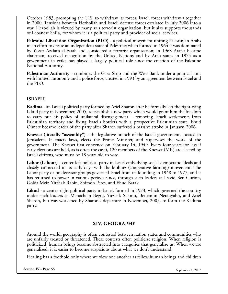October 1983, prompting the U.S. to withdraw its forces. Israeli forces withdrew altogether in 2000. Tensions between Hezbollah and Israeli defense forces escalated in July 2006 into a war. Hezbollah is viewed by many as a terrorist organization, but it also supports thousands of Lebanese Shi`a, for whom it is a political party and provider of social services.

**Palestine Liberation Organization (PLO) -** a political movement uniting Palestinian Arabs in an effort to create an independent state of Palestine; when formed in 1964 it was dominated by Yasser Arafat's al-Fatah and considered a terrorist organization; in 1968 Arafat became chairman; received recognition by the United Nations and by Arab states in 1974 as a government in exile; has played a largely political role since the creation of the Palestine National Authority.

**Palestinian Authority -** combines the Gaza Strip and the West Bank under a political unit with limited autonomy and a police force; created in 1993 by an agreement between Israel and the PLO.

### **ISRAELI**

**Kadima -** an Israeli political party formed by Ariel Sharon after he formally left the right-wing Likud party in November, 2005, to establish a new party which would grant him the freedom to carry out his policy of unilateral disengagement – removing Israeli settlements from Palestinian territory and fixing Israel's borders with a prospective Palestinian state. Ehud Olmert became leader of the party after Sharon suffered a massive stroke in January, 2006.

**Knesset (literally "assembly") -** the legislative branch of the Israeli government, located in Jerusalem. It enacts laws, elects the Prime Minister, and supervises the work of the government. The Knesset first convened on February 14, 1949. Every four years (or less if early elections are held, as is often the case), 120 members of the Knesset (MK) are elected by Israeli citizens, who must be 18 years old to vote.

**Labor (Labour) -** center-left political party in Israel embodying social-democratic ideals and closely connected in its early days with the kibbutz (cooperative farming) movement. The Labor party or predecessor groups governed Israel from its founding in 1948 to 1977, and it has returned to power in various periods since, through such leaders as David Ben-Gurion, Golda Meir, Yitzhak Rabin, Shimon Peres, and Ehud Barak.

**Likud -** a center-right political party in Israel, formed in 1973, which governed the country under such leaders as Menachem Begin, Yitzhak Shamir, Benjamin Netanyahu, and Ariel Sharon, but was weakened by Sharon's departure in November, 2005, to form the Kadima party.

## **XIV. GEOGRAPHY**

Around the world, geography is often contested between nation states and communities who are unfairly treated or threatened. These contests often politicize religion. When religion is politicized, human beings become abstracted into categories that generalize us. When we are generalized, it is easier to become suspicious about what we don't understand.

Healing has a foothold only where we view one another as fellow human beings and children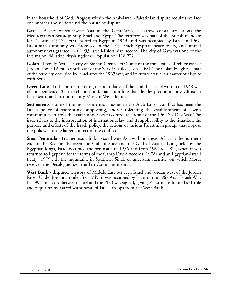in the household of God. Progress within the Arab-Israeli-Palestinian dispute requires we face one another and understand the nature of dispute.

**Gaza -** A city of southwest Asia in the Gaza Strip, a narrow coastal area along the Mediterranean Sea adjoining Israel and Egypt. The territory was part of the British mandate for Palestine (1917-1948), passed to Egypt in 1949, and was occupied by Israel in 1967. Palestinian autonomy was promised in the 1979 Israeli-Egyptian peace treaty, and limited autonomy was granted in a 1993 Israeli-Palestinian accord. The city of Gaza was one of the five major Philistine city-kingdoms. Population: 118,272.

**Golan -** literally "exile," a city of Bashan (Deut. 4:43), one of the three cities of refuge east of Jordan, about 12 miles north-east of the Sea of Galilee (Josh. 20:8). The Golan Heights is part of the terrority occupied by Israel after the 1967 war, and its future status is a matter of dispute with Syria.

**Green Line - 1:** the border marking the boundaries of the land that Israel won in its 1948 war of independence. **2:** (in Lebanon) a demarcation line that divides predominantly Christian East Beirut and predominantly Muslem West Beirut.

**Settlements -** one of the most contentious issues in the Arab-Israeli Conflict has been the Israeli policy of sponsoring, supporting, and/or tolerating the establishment of Jewish communities in areas that came under Israeli control as a result of the 1967 Six Day War. The issue relates to the interpretation of international law and its applicability to the situation, the purpose and effects of the Israeli policy, the actions of various Palestinian groups that oppose the policy, and the larger context of the conflict.

**Sinai Peninsula - 1:** a peninsula linking southwest Asia with northeast Africa at the northern end of the Red Sea between the Gulf of Suez and the Gulf of Aqaba. Long held by the Egyptian kings, Israel occupied the peninsula in 1956 and from 1967 to 1982, when it was returned to Egypt under the terms of the Camp David Accords (1978) and an Egyptian-Israeli treaty (1979). **2:** the mountain, in Southern Sinai, of uncertain identity, on which Moses received the Decalogue (i.e., the Ten Commandments).

**West Bank -** disputed territory of Middle East between Israel and Jordan west of the Jordan River. Under Jordanian rule after 1949, it was occupied by Israel in the 1967 Arab-Israeli War. In 1993 an accord between Israel and the PLO was signed, giving Palestinians limited self-rule and requiring measured withdrawal of Israeli troops from the West Bank.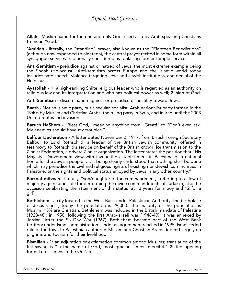# *Alphabetical Glossary*

Allah - Muslim name for the one and only God; used also by Arab-speaking Christians to mean "God."

'Amidah - literally, the "standing" prayer, also known as the "Eighteen Benedictions" (although now expanded to nineteen), the central prayer recited in some form within all synagogue services traditionally considered as replacing former temple services.

Anti-Semitism - prejudice against or hatred of Jews, the most extreme example being the Shoah (Holocaust). Anti-semitism across Europe and the Islamic world today includes hate speech, violence targeting Jews and Jewish institutions, and denial of the Holocaust.

Ayatollah - 1: a high-ranking Shiite religious leader who is regarded as an authority on religious law and its interpretation and who has political power as well; 2: sign of God.

Anti-Semitism - discrimination against or prejudice or hostility toward Jews.

Baath - Not an Islamic party, but a secular, socialist, Arab nationalist party formed in the 1940s by Muslim and Christian Arabs; the ruling party in Syria, and in Iraq until the 2003 United States-led invasion.

Baruch HaShem - "Bless God," meaning anything from "Great!" to "Don't even ask. My enemies should have my troubles!"

Balfour Declaration - A letter dated November 2, 1917, from British Foreign Secretary Balfour to Lord Rothschild, a leader of the British Jewish community, offered in testimony to Rothschild's service on behalf of the British crown, for transmission to the Zionist Federation, a private Zionist organization. The letter states the position that "His Majesty's Government view with favour the establishment in Palestine of a national home for the Jewish people. . ., it being clearly understood that nothing shall be done which may prejudice the civil and religious rights of existing non-Jewish communities in Palestine, or the rights and political status enjoyed by Jews in any other country."

Bar/bat mitzvah - literally, "son/daughter of the commandment," referring to a Jew of majority age responsible for performing the divine commandments of Judaism; also the occasion celebrating the attainment of this status (at 13 years for a boy and 12 for a girl).

Bethlehem - a city located in the West Bank under Palestinian Authority; the birthplace of Jesus Christ, today the population is 29,000. The majority of the population is Muslim; 15% are Christian. Bethlehem was included in the British mandate of Palestine (1923-48); in 1950, following the first Arab-Israeli war (1948-49), it was annexed by Jordan. After the Six-Day War (1967), Bethlehem became part of the West Bank territory under Israeli administration. Under an agreement reached in 1995, Israel ceded rule of the town to Palestinian authority. Muslim and Christian Arabs depend largely on pilgrims and tourism for their livelihood.

Bismillah - 1: an adjuration or exclamation common among Muslims; translation of the full saying is "In the name of God, most gracious, most merciful." 2: the opening formula for surahs in the Qur'an.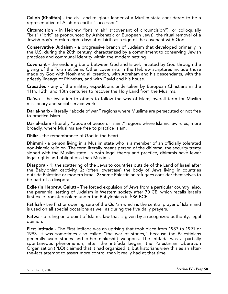Caliph (Khalifah) - the civil and religious leader of a Muslim state considered to be a representative of Allah on earth; "successor."

Circumcision - in Hebrew "brit milah" ("covenant of circumcision"), or colloquially "bris" ("brit" as pronounced by Ashkenazic or European Jews), the ritual removal of a Jewish boy's foreskin eight days after birth as a sign of the covenant with God.

Conservative Judaism - a progressive branch of Judaism that developed primarily in the U.S. during the 20th century, characterized by a commitment to conserving Jewish practices and communal identity within the modern setting.

Covenant - the enduring bond between God and Israel, initiated by God through the giving of the Torah at Sinai. Other covenants in the Hebrew scriptures include those made by God with Noah and all creation, with Abraham and his descendants, with the priestly lineage of Phinehas, and with David and his house.

Crusades - any of the military expeditions undertaken by European Christians in the 11th, 12th, and 13th centuries to recover the Holy Land from the Muslims.

Da'wa - the invitation to others to follow the way of Islam; overall term for Muslim missionary and social service work.

Dar al-harb - literally "abode of war," regions where Muslims are persecuted or not free to practice Islam.

Dar al-islam - literally "abode of peace or Islam," regions where Islamic law rules; more broadly, where Muslims are free to practice Islam.

Dhikr - the remembrance of God in the heart.

Dhimmi - a person living in a Muslim state who is a member of an officially tolerated non-Islamic religion. The term literally means person of the dhimma, the security treaty signed with the Muslim state. In both legal theory and practice, dhimmis have fewer legal rights and obligations than Muslims.

Diaspora - 1: the scattering of the Jews to countries outside of the Land of Israel after the Babylonian captivity. 2: (often lowercase) the body of Jews living in countries outside Palestine or modern Israel. 3: some Palestinian refugees consider themselves to be part of a diaspora.

Exile (in Hebrew, Galut) - The forced expulsion of Jews from a particular country; also, the perennial setting of Judaism in Western society after 70 CE, which recalls Israel's first exile from Jerusalem under the Babylonians in 586 BCE.

Fatihah - the first or opening sura of the Qur'an which is the central prayer of Islam and is used on all special occasions as well as during the five daily prayers.

Fatwa - a ruling on a point of Islamic law that is given by a recognized authority; legal opinion.

First Intifada - The First Intifada was an uprising that took place from 1987 to 1991 or 1993. It was sometimes also called "the war of stones," because the Palestinians generally used stones and other makeshift weapons. The intifada was a partially spontaneous phenomenon; after the intifada began, the Palestinian Liberation Organization (PLO) claimed that it had organized it, but historians view this as an afterthe-fact attempt to assert more control than it really had at that time.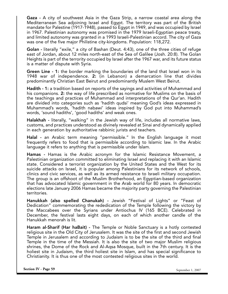Gaza - A city of southwest Asia in the Gaza Strip, a narrow coastal area along the Mediterranean Sea adjoining Israel and Egypt. The territory was part of the British mandate for Palestine (1917-1948), passed to Egypt in 1949, and was occupied by Israel in 1967. Palestinian autonomy was promised in the 1979 Israeli-Egyptian peace treaty, and limited autonomy was granted in a 1993 Israeli-Palestinian accord. The city of Gaza was one of the five major Philistine city-kingdoms. Population: 118,272.

Golan - literally "exile," a city of Bashan (Deut. 4:43), one of the three cities of refuge east of Jordan, about 12 miles north-east of the Sea of Galilee (Josh. 20:8). The Golan Heights is part of the terrority occupied by Israel after the 1967 war, and its future status is a matter of dispute with Syria.

Green Line - 1: the border marking the boundaries of the land that Israel won in its 1948 war of independence. 2: (in Lebanon) a demarcation line that divides predominantly Christian East Beirut and predominantly Muslem West Beirut.

Hadith - 1: a tradition based on reports of the sayings and activities of Muhammad and his companions. 2: the way of life prescribed as normative for Muslims on the basis of the teachings and practices of Muhammad and interpretations of the Qur'an. Hadith are divided into categories such as 'hadith qudsi' meaning God's ideas expressed in Muhammad's words, 'hadith nabawi' ideas inspired by God put into Muhammad's words, 'sound hadiths', 'good hadiths' and weak ones.

Halakhah - literally, "walking" in the Jewish way of life, includes all normative laws, customs, and practices understood as divinely revealed at Sinai and dynamically applied in each generation by authoritative rabbinic jurists and teachers.

Halal - an Arabic term meaning "permissible." In the English language it most frequently refers to food that is permissible according to Islamic law. In the Arabic language it refers to anything that is permissible under Islam.

Hamas - Hamas is the Arabic acronym for the Islamic Resistance Movement, a Palestinian organization committed to eliminating Israel and replacing it with an Islamic state. Considered a terrorist organization by the United States and the West for its suicide attacks on Israel, it is popular among Palestinians for its network of schools, clinics and civic services, as well as its armed resistance to Israeli military occupation. The group is an offshoot of the Muslim Brotherhood, an Egyptian-based organization that has advocated Islamic government in the Arab world for 80 years. In democratic elections late January 2006 Hamas became the majority party governing the Palestinian territories.

Hanukkah (also spelled Chanukah) - Jewish "Festival of Lights" or "Feast of Dedication" commemorating the rededication of the Temple following the victory by the Maccabees over the Syrians under Antiochus IV (165 BCE). Celebrated in December, the festival lasts eight days, on each of which another candle of the Hanukkah menorah is lit.

Haram al-Sharif (Har haBait) - The Temple or Noble Sanctuary is a hotly contested religious site in the Old City of Jerusalem. It was the site of the first and second Jewish Temple in Jerusalem and according to Judaism is to be the site of the third and final Temple in the time of the Messiah. It is also the site of two major Muslim religious shrines, the Dome of the Rock and Al-Aqsa Mosque, built in the 7th century. It is the holiest site in Judaism, the third holiest site in Islam, and has special significance to Christianity. It is thus one of the most contested religious sites in the world.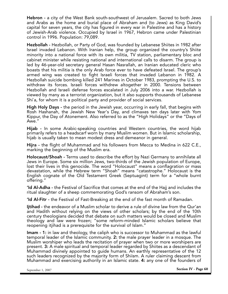Hebron - a city of the West Bank south-southwest of Jerusalem. Sacred to both Jews and Arabs as the home and burial place of Abraham and (to Jews) as King David's capital for seven years, the city has figured in every war in Palestine and has a history of Jewish-Arab violence. Occupied by Israel in 1967, Hebron came under Palestinian control in 1996. Population: 79,089.

Hezbollah - Hezbollah, or Party of God, was founded by Lebanese Shiites in 1982 after Israel invaded Lebanon. With Iranian help, the group organized the country's Shiite minority into a national force with its own militia, TV station, parliamentary bloc and cabinet minister while resisting national and international calls to disarm. The group is led by 46-year-old secretary general Hasan Nasrallah, an Iranian educated cleric who boasts that his militia is the only Arab force ever to have defeated Israel. The group's armed wing was created to fight Israeli forces that invaded Lebanon in 1982. A Hezbollah suicide bombing killed 241 Marines in October 1983, prompting the U.S. to withdraw its forces. Israeli forces withdrew altogether in 2000. Tensions between Hezbollah and Israeli defense forces escalated in July 2006 into a war. Hezbollah is viewed by many as a terrorist organization, but it also supports thousands of Lebanese Shi`a, for whom it is a political party and provider of social services.

High Holy Days - the period in the Jewish year, occurring in early fall, that begins with Rosh Hashanah, the Jewish New Year's Day, and climaxes ten days later with Yom Kippur, the Day of Atonement. Also referred to as the "High Holidays" or the "Days of Awe."

Hijab - In some Arabic-speaking countries and Western countries, the word hijab primarily refers to a headscarf worn by many Muslim women. But in Islamic scholarship, hijab is usually taken to mean modest dress and demeanor in general.

Hijra - the flight of Muhammad and his followers from Mecca to Medina in 622 C.E., marking the beginning of the Muslim era.

Holocaust/Shoah - Terms used to describe the effort by Nazi Germany to annihilate all Jews in Europe. Some six million Jews, two-thirds of the Jewish population of Europe, lost their lives in this genocide. The word "Holocaust" means a conflagration or mass devastation, while the Hebrew term "Shoah" means "catastrophe." Holocaust is the English cognate of the Old Testament Greek (Septuagint) term for a "whole burnt offering."

'Id Al-Adha - the Festival of Sacrifice that comes at the end of the Hajj and includes the ritual slaughter of a sheep commemorating God's ransom of Abraham's son.

'Id Al-Fitr - the Festival of Fast-Breaking at the end of the fast month of Ramadan.

Ijtihad - the endeavor of a Muslim scholar to derive a rule of divine law from the Qur'an and Hadith without relying on the views of other scholars; by the end of the 10th century theologians decided that debate on such matters would be closed and Muslim theology and law were frozen; "some reform-minded Islamic scholars believe that reopening itjihad is a prerequisite for the survival of Islam."

Imam - 1: in law and theology, the caliph who is successor to Muhammad as the lawful temporal leader of the Islamic community. 2: the male prayer leader in a mosque. The Muslim worshiper who leads the recitation of prayer when two or more worshipers are present. 3: A male spiritual and temporal leader regarded by Shiites as a descendant of Muhammad divinely appointed to guide humans. An earthly representative of the 12 such leaders recognized by the majority form of Shiism. A ruler claiming descent from Muhammad and exercising authority in an Islamic state. 4: any one of the founders of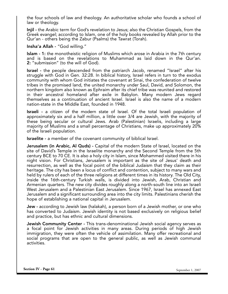the four schools of law and theology. An authoritative scholar who founds a school of law or theology.

Injil - the Arabic term for God's revelation to Jesus; also the Christian Gospels, from the Greek evangel; according to Islam, one of the holy books revealed by Allah prior to the Qur'an - others being the Zabur (Psalms) the Tawrat (Torah).

Insha'a Allah - "God willing."

Islam - 1: the monotheistic religion of Muslims which arose in Arabia in the 7th century and is based on the revelations to Muhammad as laid down in the Qur'an. 2: "submission" (to the will of God).

Israel - the people descended from the patriarch Jacob, renamed "Israel" after his struggle with God in Gen. 32:28. In biblical history, Israel refers in turn to the exodus community with whom God initiates the covenant at Sinai, the confederation of twelve tribes in the promised land, the united monarchy under Saul, David, and Solomon, the northern kingdom also known as Ephraim after its chief tribe was reunited and restored in their ancestral homeland after exile in Babylon. Many modern Jews regard themselves as a continuation of ancient Israel. Israel is also the name of a modern nation-state in the Middle East, founded in 1948.

Israeli - a citizen of the modern state of Israel. Of the total Israeli population of approximately six and a half million, a little over 3/4 are Jewish, with the majority of these being secular or cultural Jews. Arab (Palestinian) Israelis, including a large majority of Muslims and a small percentage of Christians, make up approximately 20% of the Israeli population.

Israelite - a member of the covenant community of biblical Israel.

Jerusalem (in Arabic, Al Quds) - Capital of the modern State of Israel, located on the site of David's Temple in the Israelite monarchy and the Second Temple from the 5th century BCE to 70 CE. It is also a holy city in Islam, since Mohammed visited there in his night vision. For Christians, Jerusalem is important as the site of Jesus' death and resurrection, as well as the focal point of the biblical Judaism that they claim as their heritage. The city has been a locus of conflict and contention, subject to many wars and held by rulers of each of the three religions at different times in its history. The Old City, inside the 16th-century Turkish walls, is divided into Jewish, Arab, Christian and Armenian quarters. The new city divides roughly along a north-south line into an Israeli West Jerusalem and a Palestinian East Jerusalem. Since 1967, Israel has annexed East Jerusalem and a significant surrounding area into the city limits. Palestinians cherish the hope of establishing a national capital in Jerusalem.

Jew - according to Jewish law (halakah), a person born of a Jewish mother, or one who has converted to Judaism. Jewish identity is not based exclusively on religious belief and practice, but has ethnic and cultural dimensions.

Jewish Community Center - This trans-denominational Jewish social agency serves as a focal point for Jewish activities in many areas. During periods of high Jewish immigration, they were often the vehicle of assimilation. Many offer recreational and social programs that are open to the general public, as well as Jewish communal activities.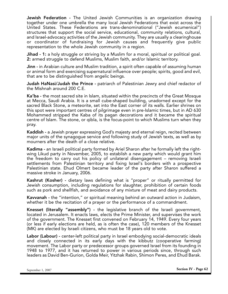Jewish Federation - The United Jewish Communities is an organization drawing together under one umbrella the many local Jewish Federations that exist across the United States. These Federations are trans-denominational ("Jewish ecumenical") structures that support the social service, educational, community relations, cultural, and Israel-advocacy activities of the Jewish community. They are usually a clearinghouse or coordinator of fundraising for Jewish causes and frequently give public representation to the whole Jewish community in a region.

Jihad - 1: a holy struggle or striving by a Muslim for a moral, spiritual or political goal. 2: armed struggle to defend Muslims, Muslim faith, and/or Islamic territory.

Jinn - in Arabian culture and Muslim tradition, a spirit often capable of assuming human or animal form and exercising supernatural influence over people; spirits, good and evil, that are to be distinguished from angelic beings.

Judah HaNasi/Judah the Prince - patriarch of Palestinian Jewry and chief redactor of the Mishnah around 200 C.E.

Ka'ba - the most sacred site in Islam, situated within the precincts of the Great Mosque at Mecca, Saudi Arabia. It is a small cube-shaped building, unadorned except for the sacred Black Stone, a meteorite, set into the East corner of its walls. Earlier shrines on this spot were important centres of pilgrimage even in pre-Islamic times, but in AD 630 Mohammed stripped the Kaba of its pagan decorations and it became the spiritual centre of Islam. The stone, or qibla, is the focus-point to which Muslims turn when they pray.

Kaddish - a Jewish prayer expressing God's majesty and eternal reign, recited between major units of the synagogue service and following study of Jewish texts, as well as by mourners after the death of a close relative.

Kadima - an Israeli political party formed by Ariel Sharon after he formally left the rightwing Likud party in November, 2005, to establish a new party which would grant him the freedom to carry out his policy of unilateral disengagement – removing Israeli settlements from Palestinian territory and fixing Israel's borders with a prospective Palestinian state. Ehud Olmert became leader of the party after Sharon suffered a massive stroke in January, 2006.

Kashrut (Kosher) - dietary laws defining what is "proper" or ritually permitted for Jewish consumption, including regulations for slaughter, prohibition of certain foods such as pork and shellfish, and avoidance of any mixture of meat and dairy products.

Kavvanah - the "intention," or spiritual meaning behind an outward action in Judaism, whether it be the recitation of a prayer or the performance of a commandment.

Knesset (literally "assembly") - the legislative branch of the Israeli government, located in Jerusalem. It enacts laws, elects the Prime Minister, and supervises the work of the government. The Knesset first convened on February 14, 1949. Every four years (or less if early elections are held, as is often the case), 120 members of the Knesset (MK) are elected by Israeli citizens, who must be 18 years old to vote.

Labor (Labour) - center-left political party in Israel embodying social-democratic ideals and closely connected in its early days with the kibbutz (cooperative farming) movement. The Labor party or predecessor groups governed Israel from its founding in 1948 to 1977, and it has returned to power in various periods since, through such leaders as David Ben-Gurion, Golda Meir, Yitzhak Rabin, Shimon Peres, and Ehud Barak.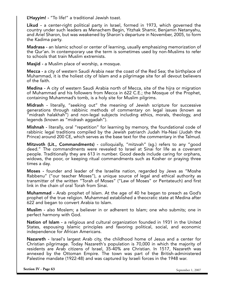L'Hayyim! - "To life!" a traditional Jewish toast.

Likud - a center-right political party in Israel, formed in 1973, which governed the country under such leaders as Menachem Begin, Yitzhak Shamir, Benjamin Netanyahu, and Ariel Sharon, but was weakened by Sharon's departure in November, 2005, to form the Kadima party.

Madrasa - an Islamic school or center of learning, usually emphasizing memorization of the Qur'an. In contemporary use the term is sometimes used by non-Muslims to refer to schools that train Muslim extremists.

Masjid - a Muslim place of worship, a mosque.

Mecca - a city of western Saudi Arabia near the coast of the Red Sea; the birthplace of Muhammad, it is the holiest city of Islam and a pilgrimage site for all devout believers of the faith.

Medina - A city of western Saudi Arabia north of Mecca, site of the hijra or migration of Muhammad and his followers from Mecca in 622 C.E.; the Mosque of the Prophet, containing Muhammad's tomb, is a holy site for Muslim pilgrims.

Midrash - literally, "seeking out" the meaning of Jewish scripture for successive generations through rabbinic methods of commentary on legal issues (known as "midrash halakhah") and non-legal subjects including ethics, morals, theology, and legends (known as "midrash aggadah").

Mishnah - literally, oral "repetition" for learning by memory, the foundational code of rabbinic legal traditions compiled by the Jewish patriarch Judah Ha-Nasi (Judah the Prince) around 200 CE, which serves as the base text for the commentary in the Talmud.

Mitzvoth (Lit., Commandments) - colloquially, "mitzvah" (sg.) refers to any "good deed." The commandments were revealed to Israel at Sinai for life as a covenant people. Traditionally they are 613 in number. Good deeds include caring for orphans, widows, the poor, or keeping ritual commandments such as Kosher or praying three times a day.

Moses - founder and leader of the Israelite nation, regarded by Jews as "Moshe Rabbenu" ("our teacher Moses"), a unique source of legal and ethical authority as transmitter of the written "Torah of Moses" ("Law of Moses" or Pentateuch) and first link in the chain of oral Torah from Sinai.

Muhammad - Arab prophet of Islam. At the age of 40 he began to preach as God's prophet of the true religion. Muhammad established a theocratic state at Medina after 622 and began to convert Arabia to Islam.

Muslim - also Moslem; a believer in or adherent to Islam; one who submits; one in perfect harmony with God.

Nation of Islam - a religious and cultural organization founded in 1931 in the United States, espousing Islamic principles and favoring political, social, and economic independence for African Americans.

Nazareth - Israel's largest Arab city, the childhood home of Jesus and a center for Christian pilgrimage. Today Nazareth's population is 70,000 in which the majority of residents are Arab citizens of Israel, 35-40% are Christian. In 1517, Nazareth was annexed by the Ottoman Empire. The town was part of the British-administered Palestine mandate (1922-48) and was captured by Israeli forces in the 1948 war.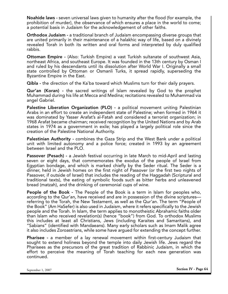Noahide laws - seven universal laws given to humanity after the flood (for example, the prohibition of murder), the observance of which ensures a place in the world to come; a potential basis in Judaism for the acknowledgement of other faiths.

Orthodox Judaism - a traditional branch of Judaism encompassing diverse groups that are united primarily in their maintenance of a halakhic way of life, based on a divinely revealed Torah in both its written and oral forms and interpreted by duly qualified rabbis.

Ottoman Empire - (Also: Turkish Empire) a vast Turkish sultanate of southwest Asia, northeast Africa, and southeast Europe. It was founded in the 13th century by Osman I and ruled by his descendants until its dissolution after World War I. Originally a small state controlled by Ottoman or Osmanli Turks, it spread rapidly, superseding the Byzantine Empire in the East.

Qibla - the direction of the Ka`ba toward which Muslims turn for their daily prayers.

Qur'an (Koran) - the sacred writings of Islam revealed by God to the prophet Muhammad during his life at Mecca and Medina; recitations revealed to Muhammad via angel Gabriel.

Palestine Liberation Organization (PLO) - a political movement uniting Palestinian Arabs in an effort to create an independent state of Palestine; when formed in 1964 it was dominated by Yasser Arafat's al-Fatah and considered a terrorist organization; in 1968 Arafat became chairman; received recognition by the United Nations and by Arab states in 1974 as a government in exile; has played a largely political role since the creation of the Palestine National Authority.

Palestinian Authority - combines the Gaza Strip and the West Bank under a political unit with limited autonomy and a police force; created in 1993 by an agreement between Israel and the PLO.

Passover (Pesach) - a Jewish festival occurring in late March to mid-April and lasting seven or eight days, that commemorates the exodus of the people of Israel from Egyptian bondage, and which is marked chiefly by the Seder ritual. The Seder is a dinner, held in Jewish homes on the first night of Passover (or the first two nights of Passover, if outside of Israel) that includes the reading of the Haggadah (Scriptural and traditional texts), the eating of symbolic foods such as bitter herbs and unleavened bread (matzah), and the drinking of ceremonial cups of wine.

People of the Book - The People of the Book is a term in Islam for peoples who, according to the Qur'an, have received and are in possession of the divine scriptures referring to the Torah, the New Testament, as well as the Qur'an. The term "People of the Book" (Am HaSefer) is also used in Judaism, where it refers specifically to the Jewish people and the Torah. In Islam, the term applies to monotheistic Abrahamic faiths older than Islam who received revelation(s) (hence "book") from God. To orthodox Muslims this includes at least all Christians, Jews (including Karaites and Samaritans), and "Sabians" (identified with Mandaeans). Many early scholars such as Imam Malik agree it also includes Zoroastrians, while some have argued for extending the concept further.

Pharisee - a member of a lay renewal movement within first-century Judaism that sought to extend holiness beyond the temple into daily Jewish life. Jews regard the Pharisees as the precursors of the great tradition of Rabbinic Judaism, in which the effort to perceive the meaning of Torah teaching for each new generation was continued.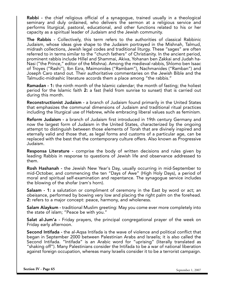Rabbi - the chief religious official of a synagogue, trained usually in a theological seminary and duly ordained, who delivers the sermon at a religious service and performs liturgical, pastoral, educational, and other functions related to his or her capacity as a spiritual leader of Judaism and the Jewish community.

The Rabbis - Collectively, this term refers to the authorities of classical Rabbinic Judaism, whose ideas give shape to the Judaism portrayed in the Mishnah, Talmud, midrash collections, Jewish legal codes and traditional liturgy. These "sages" are often referred to in terms similar to the "church fathers" of Christianity. In the ancient period, prominent rabbis include Hillel and Shammai, Akiva, Yohanan ben Zakkai and Judah ha-Nasi ("the Prince," editor of the Mishna). Among the medieval rabbis, Shlomo ben Isaac of Troyes ("Rashi"), Ibn Ezra, Maimonides ("Rambam"), Nachmanides ("Ramban") and Joseph Caro stand out. Their authoritative commentaries on the Jewish Bible and the Talmudic-midrashic literature accords them a place among "the rabbis."

Ramadan - 1: the ninth month of the Islamic calendar; the month of fasting; the holiest period for the Islamic faith 2: a fast (held from sunrise to sunset) that is carried out during this month.

Reconstructionist Judaism - a branch of Judaism found primarily in the United States that emphasizes the communal dimensions of Judaism and traditional ritual practices including the liturgical use of Hebrew, while embracing liberal values such as feminism.

Reform Judaism - a branch of Judaism first introduced in 19th century Germany and now the largest form of Judaism in the United States, characterized by the ongoing attempt to distinguish between those elements of Torah that are divinely inspired and eternally valid and those that, as legal forms and customs of a particular age, can be replaced with the best that the contemporary culture offers. Also known as Progressive Judaism.

Responsa Literature - comprise the body of written decisions and rules given by leading Rabbis in response to questions of Jewish life and observance addressed to them.

Rosh Hashanah - the Jewish New Year's Day, usually occurring in mid-September to mid-October, and commencing the ten "Days of Awe" (High Holy Days), a period of moral and spiritual self-examination and repentance. The synagogue service includes the blowing of the shofar (ram's horn).

Salaam - 1: a salutation or compliment of ceremony in the East by word or act; an obeisance, performed by bowing very low and placing the right palm on the forehead. 2: refers to a major concept: peace, harmony, and wholeness.

Salam Alaykum - traditional Muslim greeting: May you come ever more completely into the state of islam; "Peace be with you."

Salat al-Jum'a - Friday prayers, the principal congregational prayer of the week on Friday early afternoon.

Second Intifada - the al-Aqsa Intifada is the wave of violence and political conflict that began in September 2000 between Palestinian Arabs and Israelis; it is also called the Second Intifada. "Intifada" is an Arabic word for "uprising" (literally translated as "shaking off"). Many Palestinians consider the Intifada to be a war of national liberation against foreign occupation, whereas many Israelis consider it to be a terrorist campaign.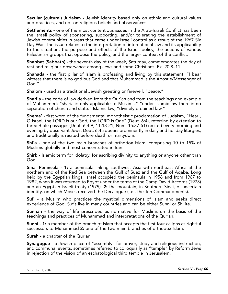Secular (cultural) Judaism **-** Jewish identity based only on ethnic and cultural values and practices, and not on religious beliefs and observances.

Settlements - one of the most contentious issues in the Arab-Israeli Conflict has been the Israeli policy of sponsoring, supporting, and/or tolerating the establishment of Jewish communities in areas that came under Israeli control as a result of the 1967 Six Day War. The issue relates to the interpretation of international law and its applicability to the situation, the purpose and effects of the Israeli policy, the actions of various Palestinian groups that oppose the policy, and the larger context of the conflict.

Shabbat (Sabbath) - the seventh day of the week, Saturday, commemorates the day of rest and religious observance among Jews and some Christians. Ex. 20:8–11.

Shahada - the first pillar of Islam is professing and living by this statement, "I bear witness that there is no god but God and that Muhammad is the Apostle/Messenger of God."

Shalom - used as a traditional Jewish greeting or farewell, "peace."

Shari'a - the code of law derived from the Qur'an and from the teachings and example of Muhammed; "sharia is only applicable to Muslims;" "under Islamic law there is no separation of church and state." Islamic law, "divinely ordained law."

Shema' - first word of the fundamental monotheistic proclamation of Judaism, "Hear , O Israel, the LORD is our God, the LORD is One" (Deut. 6:4), referring by extension to three Bible passages (Deut. 6:4-9; 11:13-21; Num. 15:37-51) recited every morning and evening by observant Jews; Deut. 6:4 appears prominently in daily and holiday liturgies, and traditionally is recited before death or martydom.

Shi'a - one of the two main branches of orthodox Islam, comprising 10 to 15% of Muslims globally and most concentrated in Iran.

Shirk - Islamic term for idolatry, for ascribing divinity to anything or anyone other than God.

Sinai Peninsula - 1: a peninsula linking southwest Asia with northeast Africa at the northern end of the Red Sea between the Gulf of Suez and the Gulf of Aqaba. Long held by the Egyptian kings, Israel occupied the peninsula in 1956 and from 1967 to 1982, when it was returned to Egypt under the terms of the Camp David Accords (1978) and an Egyptian-Israeli treaty (1979). 2: the mountain, in Southern Sinai, of uncertain identity, on which Moses received the Decalogue (i.e., the Ten Commandments).

Sufi - a Muslim who practices the mystical dimensions of Islam and seeks direct experience of God. Sufis live in many countries and can be either Sunni or Shi`ite.

Sunnah - the way of life prescribed as normative for Muslims on the basis of the teachings and practices of Muhammad and interpretations of the Qur'an.

Sunni - 1: a member of the branch of Islam that accepts the first four caliphs as rightful successors to Muhammad 2: one of the two main branches of orthodox Islam.

Surah - a chapter of the Qur'an.

Synagogue - a Jewish place of "assembly" for prayer, study and religious instruction, and communal events, sometimes referred to colloquially as "temple" by Reform Jews in rejection of the vision of an eschatological third temple in Jerusalem.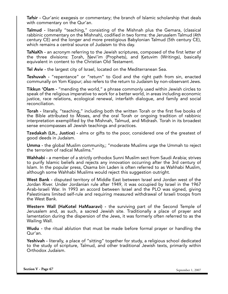Tafsir - Qur'anic exegesis or commentary; the branch of Islamic scholarship that deals with commentary on the Qur'an.

Talmud - literally "teaching," consisting of the Mishnah plus the Gemara, (classical rabbinic commentary on the Mishnah), codified in two forms: the Jerusalem Talmud (4th century CE) and the longer and more prestigious Babylonian Talmud (5th century CE), which remains a central source of Judaism to this day.

TaNaKh - an acronym referring to the Jewish scriptures, composed of the first letter of the three divisions: Torah, Nevi'im (Prophets), and Ketuvim (Writings), basically equivalent in content to the Christian Old Testament.

Tel Aviv - the largest city of Israel, located on the Mediterranean Sea.

Teshuvah - "repentance" or "return" to God and the right path from sin, enacted communally on Yom Kippur; also refers to the return to Judaism by non-observant Jews.

Tikkun 'Olam - "mending the world," a phrase commonly used within Jewish circles to speak of the religious imperative to work for a better world, in areas including economic justice, race relations, ecological renewal, interfaith dialogue, and family and social reconciliation.

Torah - literally, "teaching," including both the written Torah or the first five books of the Bible attributed to Moses, and the oral Torah or ongoing tradition of rabbinic interpretation exemplified by the Mishnah, Talmud, and Midrash. Torah in its broadest sense encompasses all Jewish teachings and practices.

Tzedakah (Lit., Justice) - alms or gifts to the poor, considered one of the greatest of good deeds in Judaism.

Umma - the global Muslim community,; "moderate Muslims urge the Ummah to reject the terrorism of radical Muslims."

Wahhabi - a member of a strictly orthodox Sunni Muslim sect from Saudi Arabia; strives to purify Islamic beliefs and rejects any innovation occurring after the 3rd century of Islam. In the popular press, Osama bin Laden is often referred to as Wahhabi Muslim, although some Wahhabi Muslims would reject this suggestion outright.

West Bank - disputed territory of Middle East between Israel and Jordan west of the Jordan River. Under Jordanian rule after 1949, it was occupied by Israel in the 1967 Arab-Israeli War. In 1993 an accord between Israel and the PLO was signed, giving Palestinians limited self-rule and requiring measured withdrawal of Israeli troops from the West Bank.

Western Wall (HaKotel HaMaaravi) - the surviving part of the Second Temple of Jerusalem and, as such, a sacred Jewish site. Traditionally a place of prayer and lamentation during the dispersion of the Jews, it was formerly often referred to as the Wailing Wall.

Wudu - the ritual ablution that must be made before formal prayer or handling the Qur'an.

Yeshivah - literally, a place of "sitting" together for study, a religious school dedicated to the study of scripture, Talmud, and other traditional Jewish texts, primarily within Orthodox Judaism.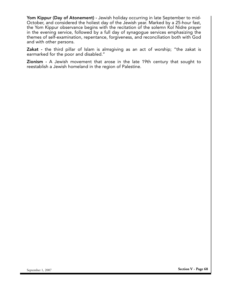Yom Kippur (Day of Atonement) - Jewish holiday occurring in late September to mid-October, and considered the holiest day of the Jewish year. Marked by a 25-hour fast, the Yom Kippur observance begins with the recitation of the solemn Kol Nidre prayer in the evening service, followed by a full day of synagogue services emphasizing the themes of self-examination, repentance, forgiveness, and reconciliation both with God and with other persons.

Zakat - the third pillar of Islam is almsgiving as an act of worship; "the zakat is earmarked for the poor and disabled."

Zionism - A Jewish movement that arose in the late 19th century that sought to reestablish a Jewish homeland in the region of Palestine.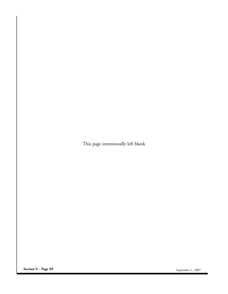This page intentionally left blank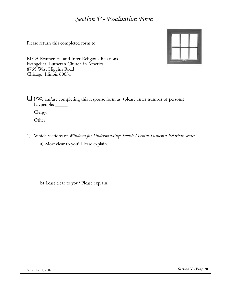Please return this completed form to:

ELCA Ecumenical and Inter-Religious Relations Evangelical Lutheran Church in America 8765 West Higgins Road Chicago, Illinois 60631

 I/We am/are completing this response form as: (please enter number of persons) Laypeople: \_\_\_\_\_

Clergy: \_\_\_\_\_\_

Other  $\_\_$ 

1) Which sections of *Windows for Understanding: Jewish-Muslim-Lutheran Relations* were: a) Most clear to you? Please explain.

b) Least clear to you? Please explain.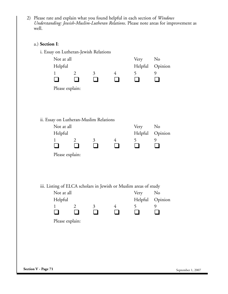2) Please rate and explain what you found helpful in each section of *Windows Understanding: Jewish-Muslim-Lutheran Relations*. Please note areas for improvement as well.

## a.) **Section I**:

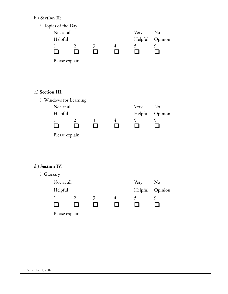## b.) **Section II**:

|                                | i. Topics of the Day:<br>Not at all<br>Helpful<br>$\mathbf{1}$<br>Please explain:   | 2              | $\mathfrak{Z}$ | 4              | Very<br>Helpful<br>5 | N <sub>o</sub><br>Opinion<br>9<br>l. I |
|--------------------------------|-------------------------------------------------------------------------------------|----------------|----------------|----------------|----------------------|----------------------------------------|
| c.) Section III:               | i. Windows for Learning<br>Not at all<br>Helpful<br>$\mathbf{1}$<br>Please explain: | $\overline{2}$ | $\mathfrak{Z}$ | $\overline{4}$ | Very<br>Helpful<br>5 | N <sub>o</sub><br>Opinion<br>9         |
| d.) Section IV:<br>i. Glossary | Not at all<br>Helpful<br>$\mathbf{1}$<br>Please explain:                            | $\overline{2}$ | $\mathfrak{Z}$ | $\overline{4}$ | Very<br>Helpful<br>5 | N <sub>o</sub><br>Opinion<br>9         |